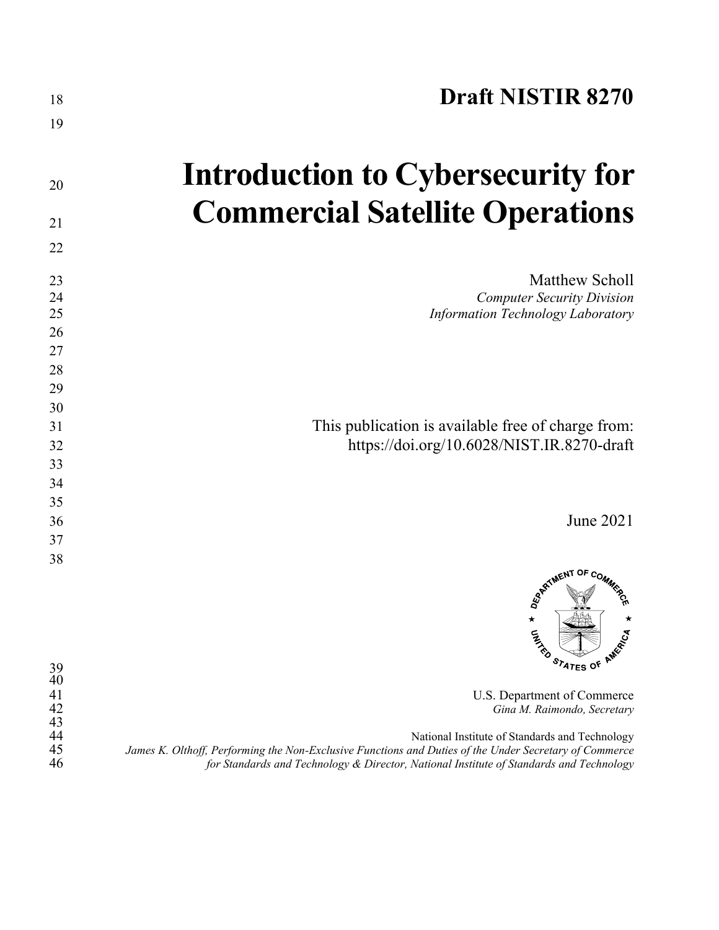| 19                                                                                                                                                                                                                                                                                                                                                          |
|-------------------------------------------------------------------------------------------------------------------------------------------------------------------------------------------------------------------------------------------------------------------------------------------------------------------------------------------------------------|
|                                                                                                                                                                                                                                                                                                                                                             |
| Introduction to Cybersecurity for<br>20                                                                                                                                                                                                                                                                                                                     |
| <b>Commercial Satellite Operations</b><br>21                                                                                                                                                                                                                                                                                                                |
| 22                                                                                                                                                                                                                                                                                                                                                          |
| <b>Matthew Scholl</b><br>23<br>24<br><b>Computer Security Division</b><br><b>Information Technology Laboratory</b><br>25<br>26<br>27<br>28<br>29                                                                                                                                                                                                            |
| 30<br>This publication is available free of charge from:<br>31<br>https://doi.org/10.6028/NIST.IR.8270-draft<br>32<br>33<br>34                                                                                                                                                                                                                              |
| 35<br>June 2021<br>36<br>37                                                                                                                                                                                                                                                                                                                                 |
| 38<br>REATMENT OF COMMISSION<br>$\star$<br>CATALLO<br>STATES OF AMERICA<br>39                                                                                                                                                                                                                                                                               |
| 40<br>41<br>U.S. Department of Commerce<br>42<br>Gina M. Raimondo, Secretary<br>43<br>44<br>National Institute of Standards and Technology<br>45<br>James K. Olthoff, Performing the Non-Exclusive Functions and Duties of the Under Secretary of Commerce<br>46<br>for Standards and Technology & Director, National Institute of Standards and Technology |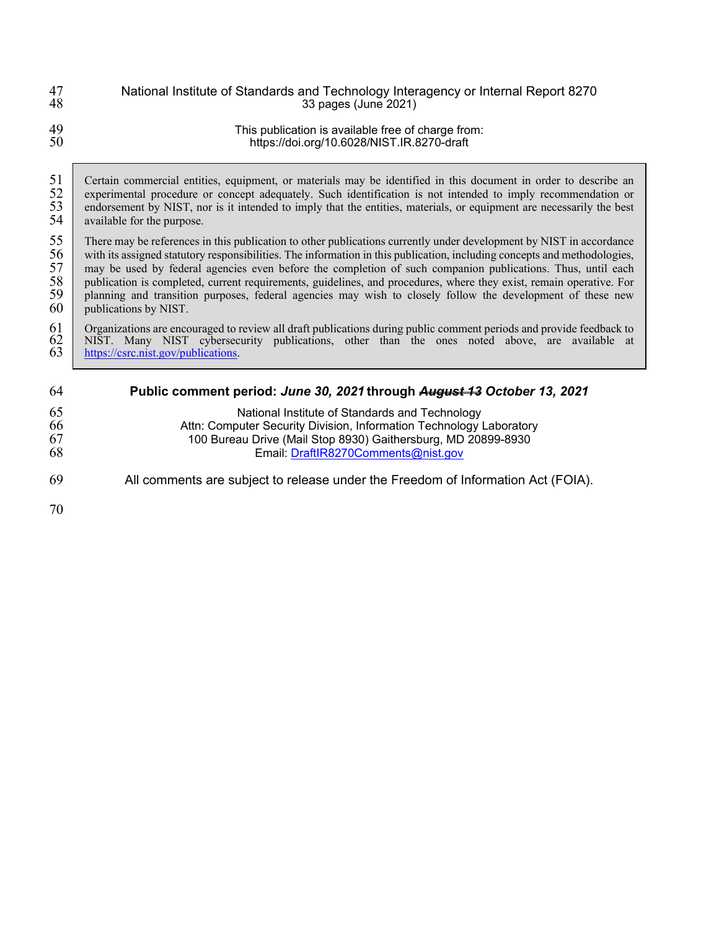| 47 | National Institute of Standards and Technology Interagency or Internal Report 8270 |
|----|------------------------------------------------------------------------------------|
| 48 | 33 pages (June 2021)                                                               |
| 49 | This publication is available free of charge from:                                 |
| 50 | https://doi.org/10.6028/NIST.IR.8270-draft                                         |

51 Certain commercial entities, equipment, or materials may be identified in this document in order to describe an experimental procedure or concept adequately. Such identification is not intended to imply recommendation o 52 experimental procedure or concept adequately. Such identification is not intended to imply recommendation or endorsement by NIST, nor is it intended to imply that the entities, materials, or equipment are necessarily th 53 endorsement by NIST, nor is it intended to imply that the entities, materials, or equipment are necessarily the best available for the purpose. available for the purpose.

55 There may be references in this publication to other publications currently under development by NIST in accordance with its assigned statutory responsibilities. The information in this publication, including concepts a with its assigned statutory responsibilities. The information in this publication, including concepts and methodologies, 57 may be used by federal agencies even before the completion of such companion publications. Thus, until each publication is completed, current requirements, guidelines, and procedures, where they exist, remain operative. publication is completed, current requirements, guidelines, and procedures, where they exist, remain operative. For 59 planning and transition purposes, federal agencies may wish to closely follow the development of these new publications by NIST. publications by NIST.

#### 61 Organizations are encouraged to review all draft publications during public comment periods and provide feedback to NIST. Many NIST cybersecurity publications, other than the ones noted above, are available at  $\frac{https://csrc$ 62 NIST. Many NIST cybersecurity publications, other than the ones noted above, are available at 63 [https://csrc.nist.gov/publications.](https://csrc.nist.gov/publications)

| 64                   | Public comment period: June 30, 2021 through August 13 October 13, 2021                                                                                                                                                       |
|----------------------|-------------------------------------------------------------------------------------------------------------------------------------------------------------------------------------------------------------------------------|
| 65<br>66<br>67<br>68 | National Institute of Standards and Technology<br>Attn: Computer Security Division, Information Technology Laboratory<br>100 Bureau Drive (Mail Stop 8930) Gaithersburg, MD 20899-8930<br>Email: DraftlR8270Comments@nist.gov |
| 69                   | All comments are subject to release under the Freedom of Information Act (FOIA).                                                                                                                                              |
| 70                   |                                                                                                                                                                                                                               |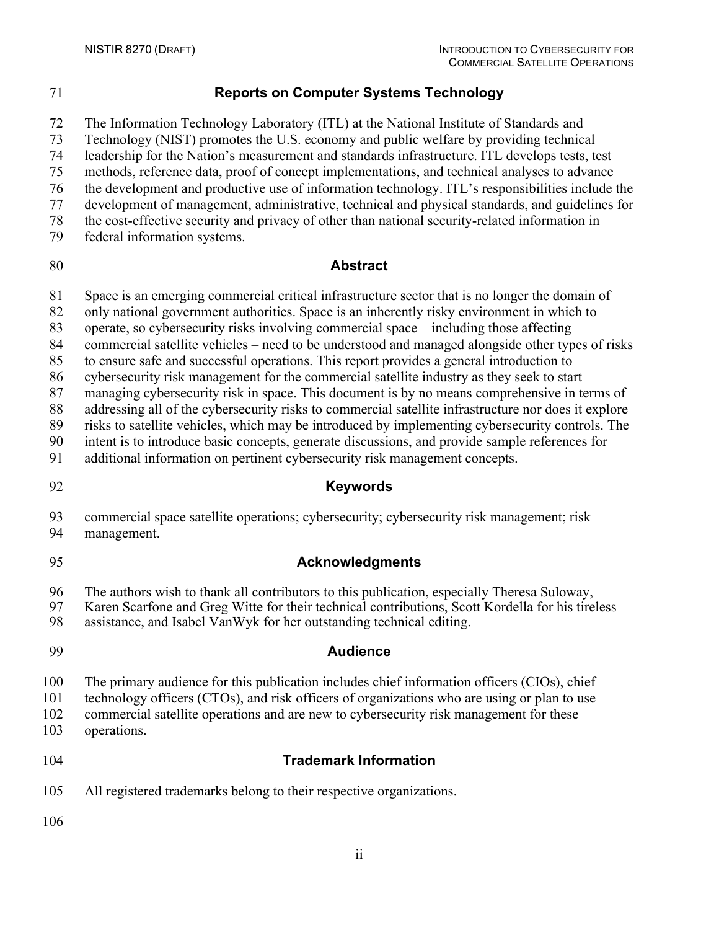# **Reports on Computer Systems Technology**

The Information Technology Laboratory (ITL) at the National Institute of Standards and

Technology (NIST) promotes the U.S. economy and public welfare by providing technical

leadership for the Nation's measurement and standards infrastructure. ITL develops tests, test

methods, reference data, proof of concept implementations, and technical analyses to advance

- the development and productive use of information technology. ITL's responsibilities include the development of management, administrative, technical and physical standards, and guidelines for
- the cost-effective security and privacy of other than national security-related information in
- 
- federal information systems.

# **Abstract**

Space is an emerging commercial critical infrastructure sector that is no longer the domain of

- only national government authorities. Space is an inherently risky environment in which to
- operate, so cybersecurity risks involving commercial space including those affecting
- commercial satellite vehicles need to be understood and managed alongside other types of risks
- to ensure safe and successful operations. This report provides a general introduction to
- cybersecurity risk management for the commercial satellite industry as they seek to start

managing cybersecurity risk in space. This document is by no means comprehensive in terms of

addressing all of the cybersecurity risks to commercial satellite infrastructure nor does it explore

risks to satellite vehicles, which may be introduced by implementing cybersecurity controls. The

intent is to introduce basic concepts, generate discussions, and provide sample references for

- additional information on pertinent cybersecurity risk management concepts.
- 

# **Keywords**

# commercial space satellite operations; cybersecurity; cybersecurity risk management; risk

management.

# **Acknowledgments**

96 The authors wish to thank all contributors to this publication, especially Theresa Suloway,<br>97 Karen Scarfone and Greg Witte for their technical contributions, Scott Kordella for his tire

- 97 Karen Scarfone and Greg Witte for their technical contributions, Scott Kordella for his tireless<br>98 assistance, and Isabel VanWyk for her outstanding technical editing.
- assistance, and Isabel VanWyk for her outstanding technical editing.

# **Audience**

The primary audience for this publication includes chief information officers (CIOs), chief

- technology officers (CTOs), and risk officers of organizations who are using or plan to use
- commercial satellite operations and are new to cybersecurity risk management for these
- operations.

# **Trademark Information**

All registered trademarks belong to their respective organizations.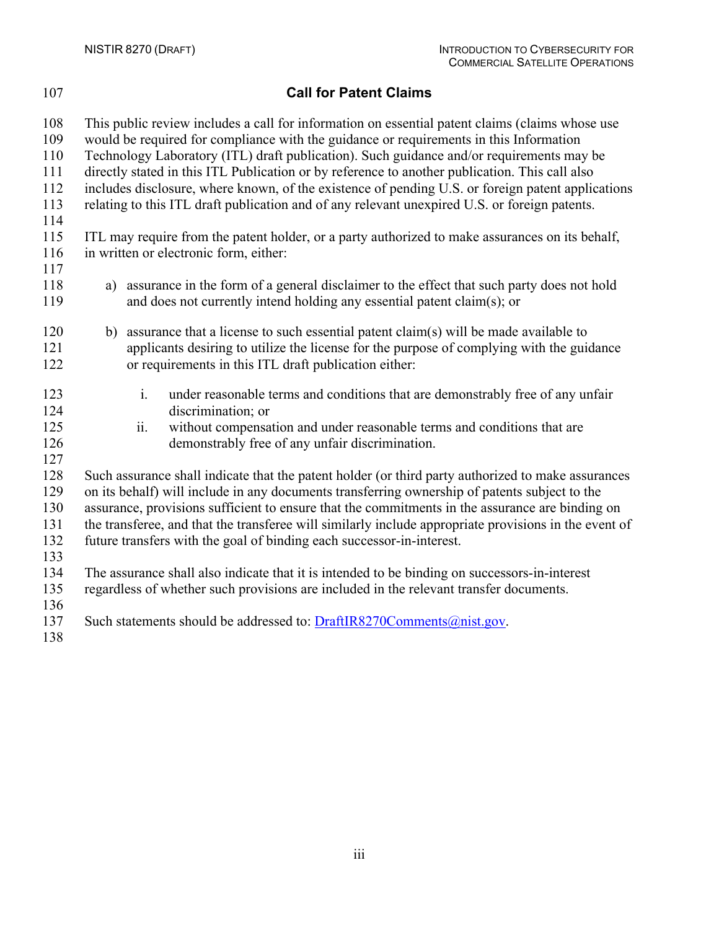# **Call for Patent Claims**

 This public review includes a call for information on essential patent claims (claims whose use would be required for compliance with the guidance or requirements in this Information Technology Laboratory (ITL) draft publication). Such guidance and/or requirements may be directly stated in this ITL Publication or by reference to another publication. This call also includes disclosure, where known, of the existence of pending U.S. or foreign patent applications relating to this ITL draft publication and of any relevant unexpired U.S. or foreign patents. ITL may require from the patent holder, or a party authorized to make assurances on its behalf, in written or electronic form, either: a) assurance in the form of a general disclaimer to the effect that such party does not hold and does not currently intend holding any essential patent claim(s); or b) assurance that a license to such essential patent claim(s) will be made available to applicants desiring to utilize the license for the purpose of complying with the guidance or requirements in this ITL draft publication either: i. under reasonable terms and conditions that are demonstrably free of any unfair discrimination; or ii. without compensation and under reasonable terms and conditions that are demonstrably free of any unfair discrimination. Such assurance shall indicate that the patent holder (or third party authorized to make assurances on its behalf) will include in any documents transferring ownership of patents subject to the assurance, provisions sufficient to ensure that the commitments in the assurance are binding on the transferee, and that the transferee will similarly include appropriate provisions in the event of future transfers with the goal of binding each successor-in-interest. The assurance shall also indicate that it is intended to be binding on successors-in-interest regardless of whether such provisions are included in the relevant transfer documents. 137 Such statements should be addressed to: [DraftIR8270Comments@nist.gov.](mailto:DraftIR8270Comments@nist.gov)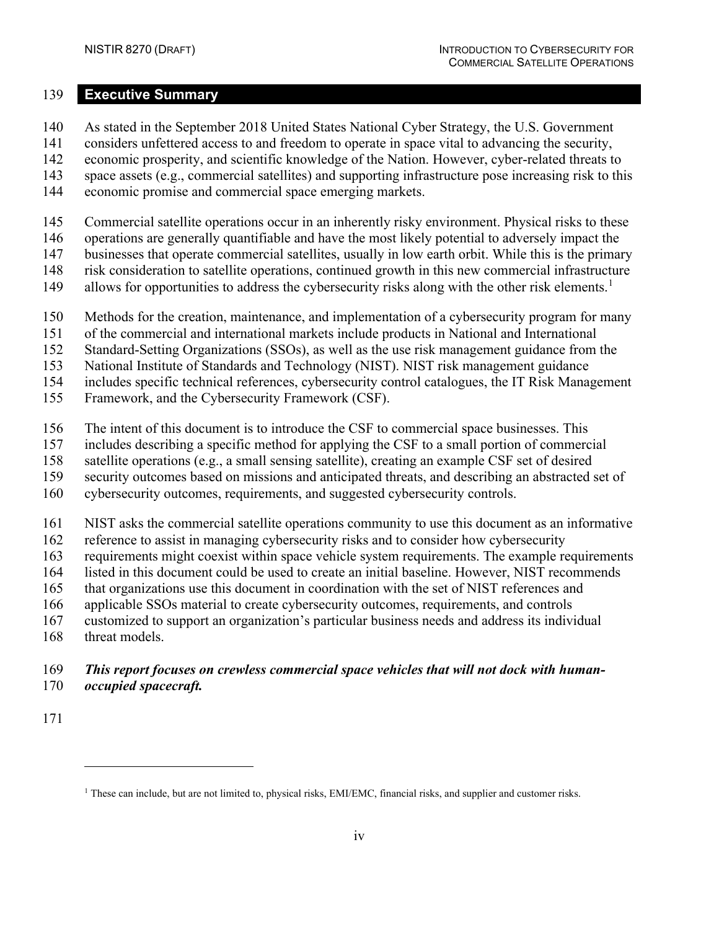#### <span id="page-5-1"></span>**Executive Summary**

- As stated in the September 2018 United States National Cyber Strategy, the U.S. Government
- considers unfettered access to and freedom to operate in space vital to advancing the security,
- economic prosperity, and scientific knowledge of the Nation. However, cyber-related threats to
- space assets (e.g., commercial satellites) and supporting infrastructure pose increasing risk to this
- economic promise and commercial space emerging markets.
- Commercial satellite operations occur in an inherently risky environment. Physical risks to these
- operations are generally quantifiable and have the most likely potential to adversely impact the
- businesses that operate commercial satellites, usually in low earth orbit. While this is the primary
- risk consideration to satellite operations, continued growth in this new commercial infrastructure
- 49 allows for opportunities to address the cybersecurity risks along with the other risk elements.<sup>1</sup>
- Methods for the creation, maintenance, and implementation of a cybersecurity program for many
- of the commercial and international markets include products in National and International
- Standard-Setting Organizations (SSOs), as well as the use risk management guidance from the
- National Institute of Standards and Technology (NIST). NIST risk management guidance
- includes specific technical references, cybersecurity control catalogues, the IT Risk Management
- Framework, and the Cybersecurity Framework (CSF).
- The intent of this document is to introduce the CSF to commercial space businesses. This
- includes describing a specific method for applying the CSF to a small portion of commercial
- satellite operations (e.g., a small sensing satellite), creating an example CSF set of desired
- security outcomes based on missions and anticipated threats, and describing an abstracted set of
- cybersecurity outcomes, requirements, and suggested cybersecurity controls.
- NIST asks the commercial satellite operations community to use this document as an informative
- reference to assist in managing cybersecurity risks and to consider how cybersecurity
- requirements might coexist within space vehicle system requirements. The example requirements
- listed in this document could be used to create an initial baseline. However, NIST recommends
- that organizations use this document in coordination with the set of NIST references and
- applicable SSOs material to create cybersecurity outcomes, requirements, and controls
- customized to support an organization's particular business needs and address its individual
- 168 threat models.

### *This report focuses on crewless commercial space vehicles that will not dock with human-occupied spacecraft.*

<span id="page-5-0"></span>These can include, but are not limited to, physical risks, EMI/EMC, financial risks, and supplier and customer risks.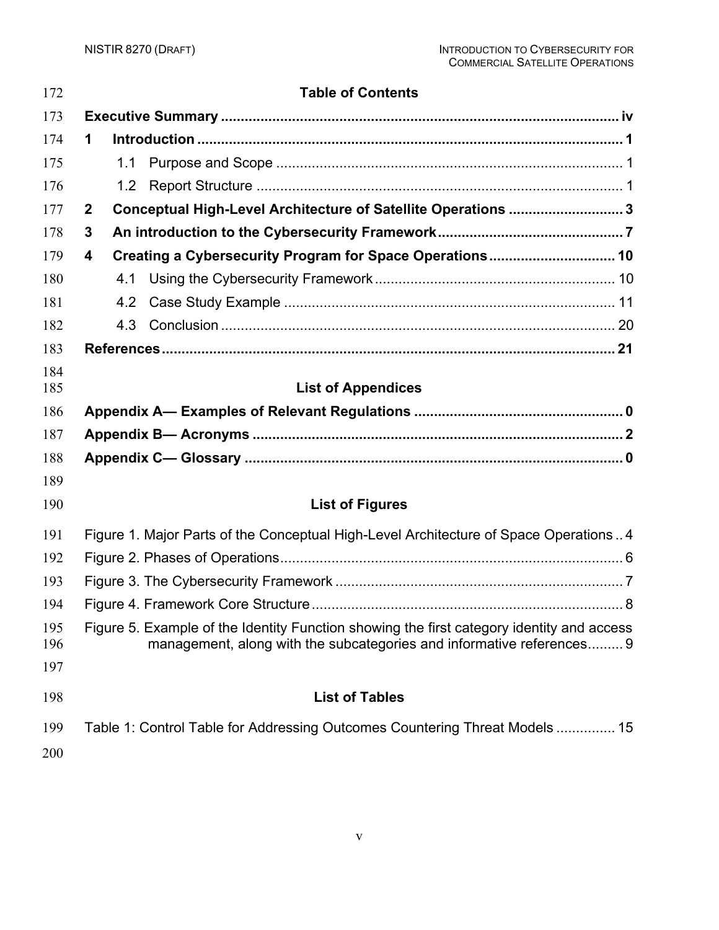| 172               |              | <b>Table of Contents</b>                                                                                                                                           |  |
|-------------------|--------------|--------------------------------------------------------------------------------------------------------------------------------------------------------------------|--|
| 173               |              |                                                                                                                                                                    |  |
| 174               | 1            |                                                                                                                                                                    |  |
| 175               |              | 1.1                                                                                                                                                                |  |
| 176               |              | 1.2 <sub>1</sub>                                                                                                                                                   |  |
| 177               | $\mathbf{2}$ | Conceptual High-Level Architecture of Satellite Operations  3                                                                                                      |  |
| 178               | 3            |                                                                                                                                                                    |  |
| 179               | 4            | Creating a Cybersecurity Program for Space Operations 10                                                                                                           |  |
| 180               |              | 4.1                                                                                                                                                                |  |
| 181               |              |                                                                                                                                                                    |  |
| 182               |              |                                                                                                                                                                    |  |
| 183               |              |                                                                                                                                                                    |  |
| 184               |              |                                                                                                                                                                    |  |
| 185               |              | <b>List of Appendices</b>                                                                                                                                          |  |
| 186               |              |                                                                                                                                                                    |  |
| 187               |              |                                                                                                                                                                    |  |
| 188               |              |                                                                                                                                                                    |  |
| 189               |              |                                                                                                                                                                    |  |
| 190               |              | <b>List of Figures</b>                                                                                                                                             |  |
| 191               |              | Figure 1. Major Parts of the Conceptual High-Level Architecture of Space Operations 4                                                                              |  |
| 192               |              |                                                                                                                                                                    |  |
| 193               |              |                                                                                                                                                                    |  |
| 194               |              |                                                                                                                                                                    |  |
| 195<br>196<br>197 |              | Figure 5. Example of the Identity Function showing the first category identity and access<br>management, along with the subcategories and informative references 9 |  |
| 198               |              | <b>List of Tables</b>                                                                                                                                              |  |
| 199<br>200        |              | Table 1: Control Table for Addressing Outcomes Countering Threat Models  15                                                                                        |  |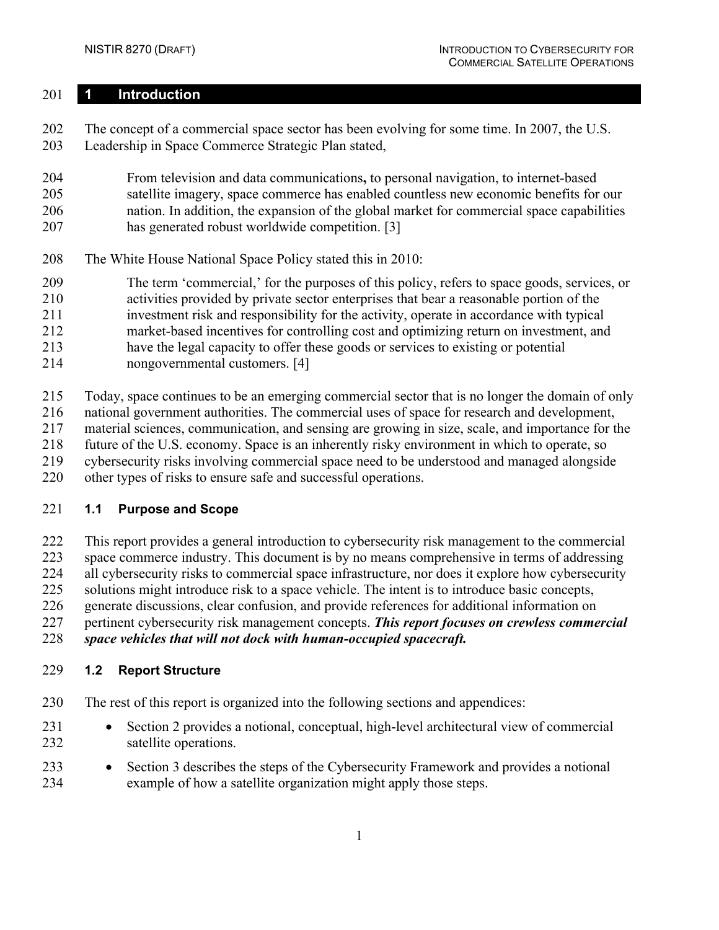#### <span id="page-7-0"></span>**1 Introduction**

 The concept of a commercial space sector has been evolving for some time. In 2007, the U.S. Leadership in Space Commerce Strategic Plan stated,

 From television and data communications**,** to personal navigation, to internet-based satellite imagery, space commerce has enabled countless new economic benefits for our nation. In addition, the expansion of the global market for commercial space capabilities has generated robust worldwide competition. [\[3\]](#page-27-1)

- The White House National Space Policy stated this in 2010:
- The term 'commercial,' for the purposes of this policy, refers to space goods, services, or activities provided by private sector enterprises that bear a reasonable portion of the investment risk and responsibility for the activity, operate in accordance with typical market-based incentives for controlling cost and optimizing return on investment, and have the legal capacity to offer these goods or services to existing or potential nongovernmental customers. [\[4\]](#page-27-2)
- Today, space continues to be an emerging commercial sector that is no longer the domain of only national government authorities. The commercial uses of space for research and development, material sciences, communication, and sensing are growing in size, scale, and importance for the future of the U.S. economy. Space is an inherently risky environment in which to operate, so cybersecurity risks involving commercial space need to be understood and managed alongside
- other types of risks to ensure safe and successful operations.

#### <span id="page-7-1"></span>**1.1 Purpose and Scope**

This report provides a general introduction to cybersecurity risk management to the commercial

space commerce industry. This document is by no means comprehensive in terms of addressing

all cybersecurity risks to commercial space infrastructure, nor does it explore how cybersecurity

solutions might introduce risk to a space vehicle. The intent is to introduce basic concepts,

generate discussions, clear confusion, and provide references for additional information on

pertinent cybersecurity risk management concepts. *This report focuses on crewless commercial* 

*space vehicles that will not dock with human-occupied spacecraft.* 

#### <span id="page-7-2"></span>**1.2 Report Structure**

- The rest of this report is organized into the following sections and appendices:
- Section [2](#page-9-0) provides a notional, conceptual, high-level architectural view of commercial satellite operations.
- Section [3](#page-13-0) describes the steps of the Cybersecurity Framework and provides a notional example of how a satellite organization might apply those steps.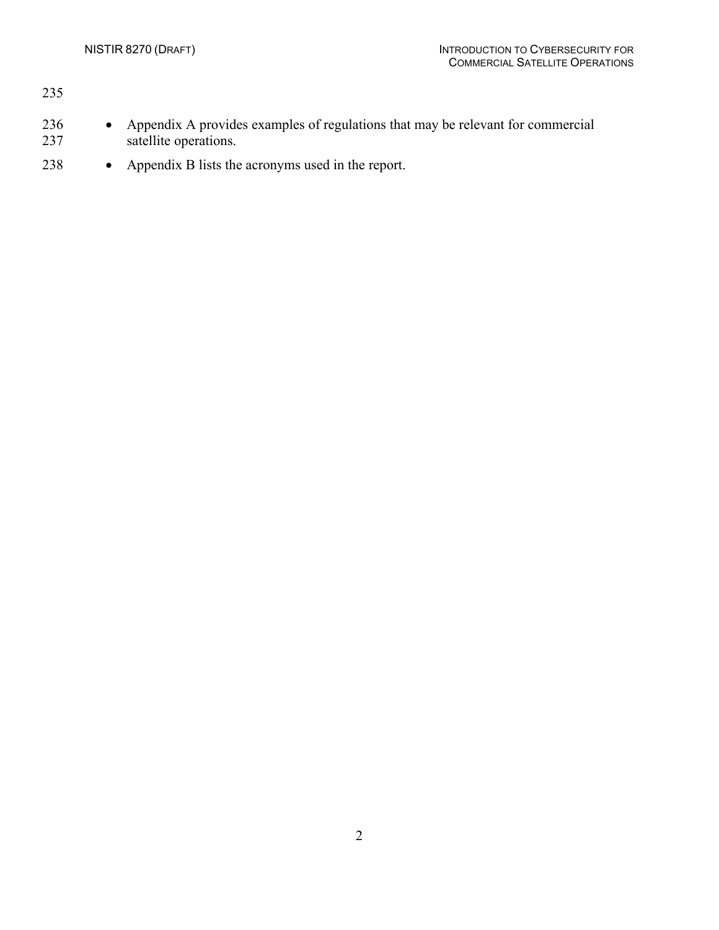| 235        |                                                                                                          |
|------------|----------------------------------------------------------------------------------------------------------|
| 236<br>237 | Appendix A provides examples of regulations that may be relevant for commercial<br>satellite operations. |

• [Appendix B](#page-31-0) lists the acronyms used in the report.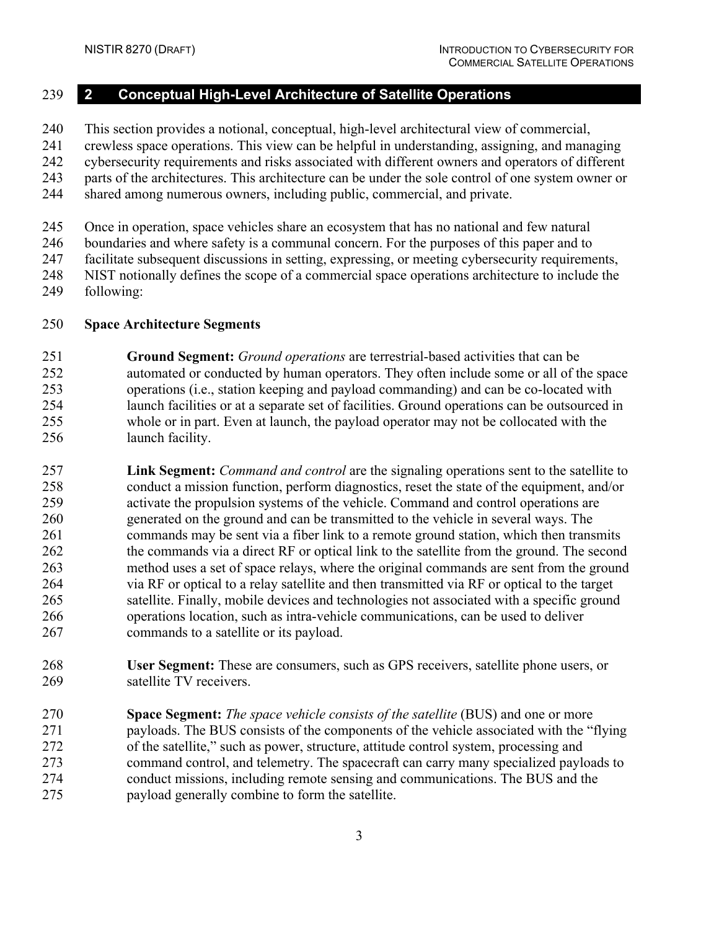# <span id="page-9-0"></span>**2 Conceptual High-Level Architecture of Satellite Operations**

This section provides a notional, conceptual, high-level architectural view of commercial,

crewless space operations. This view can be helpful in understanding, assigning, and managing

cybersecurity requirements and risks associated with different owners and operators of different

parts of the architectures. This architecture can be under the sole control of one system owner or

shared among numerous owners, including public, commercial, and private.

Once in operation, space vehicles share an ecosystem that has no national and few natural

boundaries and where safety is a communal concern. For the purposes of this paper and to

facilitate subsequent discussions in setting, expressing, or meeting cybersecurity requirements,

- NIST notionally defines the scope of a commercial space operations architecture to include the
- following:

#### **Space Architecture Segments**

 **Ground Segment:** *Ground operations* are terrestrial-based activities that can be automated or conducted by human operators. They often include some or all of the space operations (i.e., station keeping and payload commanding) and can be co-located with launch facilities or at a separate set of facilities. Ground operations can be outsourced in whole or in part. Even at launch, the payload operator may not be collocated with the launch facility.

 **Link Segment:** *Command and control* are the signaling operations sent to the satellite to conduct a mission function, perform diagnostics, reset the state of the equipment, and/or activate the propulsion systems of the vehicle. Command and control operations are generated on the ground and can be transmitted to the vehicle in several ways. The commands may be sent via a fiber link to a remote ground station, which then transmits the commands via a direct RF or optical link to the satellite from the ground. The second method uses a set of space relays, where the original commands are sent from the ground via RF or optical to a relay satellite and then transmitted via RF or optical to the target satellite. Finally, mobile devices and technologies not associated with a specific ground operations location, such as intra-vehicle communications, can be used to deliver commands to a satellite or its payload.

 **User Segment:** These are consumers, such as GPS receivers, satellite phone users, or satellite TV receivers.

 **Space Segment:** *The space vehicle consists of the satellite* (BUS) and one or more payloads. The BUS consists of the components of the vehicle associated with the "flying of the satellite," such as power, structure, attitude control system, processing and command control, and telemetry. The spacecraft can carry many specialized payloads to conduct missions, including remote sensing and communications. The BUS and the payload generally combine to form the satellite.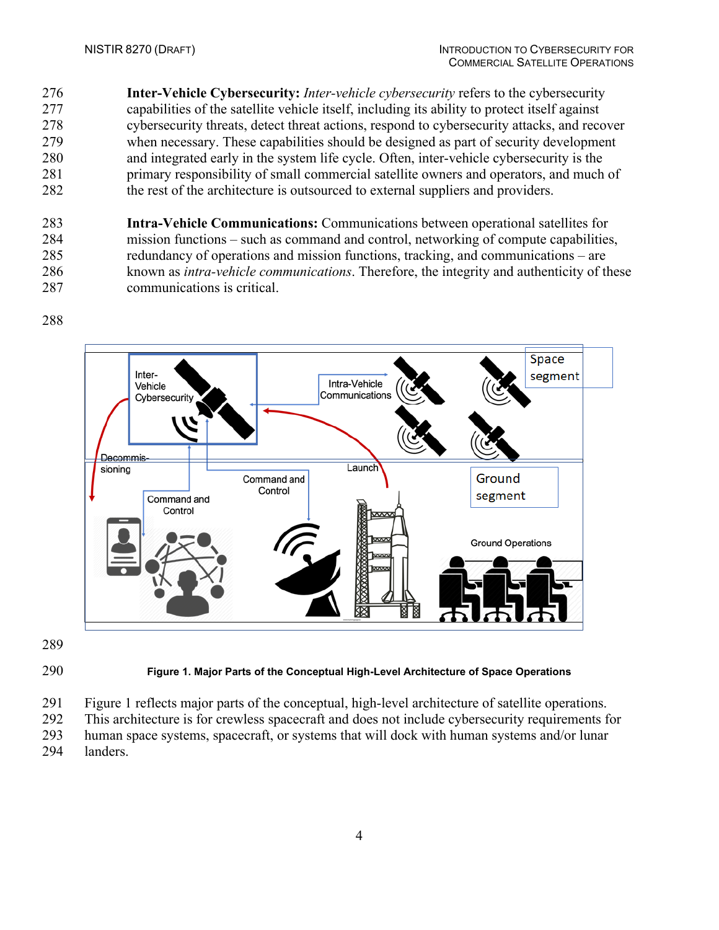**Inter-Vehicle Cybersecurity:** *Inter-vehicle cybersecurity* refers to the cybersecurity capabilities of the satellite vehicle itself, including its ability to protect itself against cybersecurity threats, detect threat actions, respond to cybersecurity attacks, and recover when necessary. These capabilities should be designed as part of security development and integrated early in the system life cycle. Often, inter-vehicle cybersecurity is the primary responsibility of small commercial satellite owners and operators, and much of the rest of the architecture is outsourced to external suppliers and providers.

 **Intra-Vehicle Communications:** Communications between operational satellites for mission functions – such as command and control, networking of compute capabilities, redundancy of operations and mission functions, tracking, and communications – are known as *intra-vehicle communications*. Therefore, the integrity and authenticity of these communications is critical.



#### <span id="page-10-0"></span>**Figure 1. Major Parts of the Conceptual High-Level Architecture of Space Operations**

Figure 1 reflects major parts of the conceptual, high-level architecture of satellite operations.

 This architecture is for crewless spacecraft and does not include cybersecurity requirements for human space systems, spacecraft, or systems that will dock with human systems and/or lunar

landers.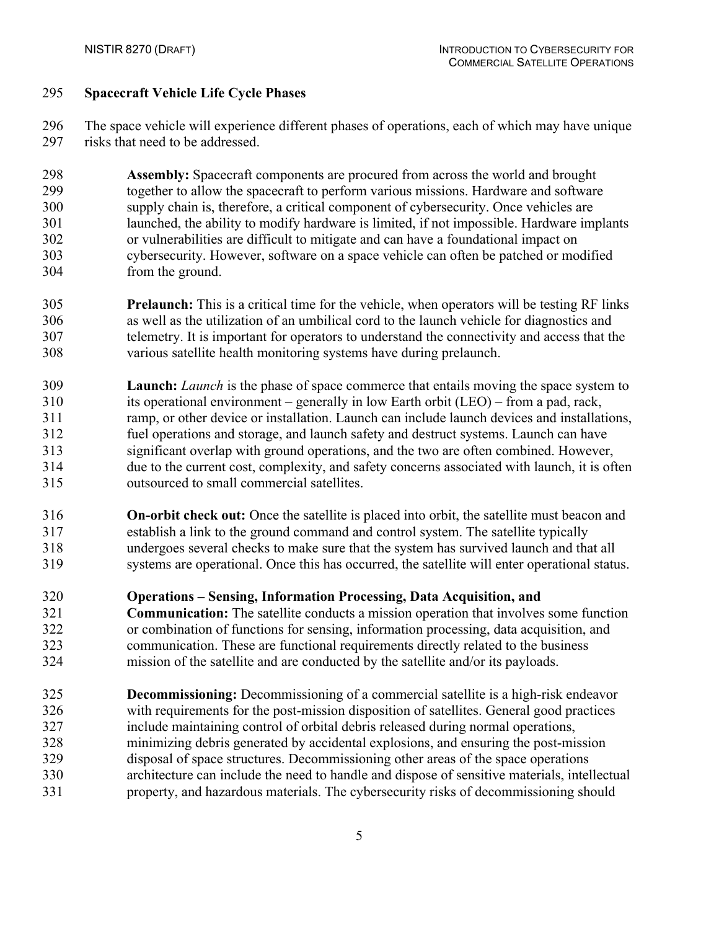#### **Spacecraft Vehicle Life Cycle Phases**

 The space vehicle will experience different phases of operations, each of which may have unique 297 risks that need to be addressed.

 **Assembly:** Spacecraft components are procured from across the world and brought together to allow the spacecraft to perform various missions. Hardware and software supply chain is, therefore, a critical component of cybersecurity. Once vehicles are launched, the ability to modify hardware is limited, if not impossible. Hardware implants or vulnerabilities are difficult to mitigate and can have a foundational impact on cybersecurity. However, software on a space vehicle can often be patched or modified from the ground.

- **Prelaunch:** This is a critical time for the vehicle, when operators will be testing RF links as well as the utilization of an umbilical cord to the launch vehicle for diagnostics and telemetry. It is important for operators to understand the connectivity and access that the various satellite health monitoring systems have during prelaunch.
- **Launch:** *Launch* is the phase of space commerce that entails moving the space system to its operational environment – generally in low Earth orbit (LEO) – from a pad, rack, ramp, or other device or installation. Launch can include launch devices and installations, fuel operations and storage, and launch safety and destruct systems. Launch can have significant overlap with ground operations, and the two are often combined. However, due to the current cost, complexity, and safety concerns associated with launch, it is often outsourced to small commercial satellites.
- **On-orbit check out:** Once the satellite is placed into orbit, the satellite must beacon and establish a link to the ground command and control system. The satellite typically undergoes several checks to make sure that the system has survived launch and that all systems are operational. Once this has occurred, the satellite will enter operational status.
- **Operations – Sensing, Information Processing, Data Acquisition, and**
- **Communication:** The satellite conducts a mission operation that involves some function or combination of functions for sensing, information processing, data acquisition, and communication. These are functional requirements directly related to the business mission of the satellite and are conducted by the satellite and/or its payloads.
- **Decommissioning:** Decommissioning of a commercial satellite is a high-risk endeavor with requirements for the post-mission disposition of satellites. General good practices include maintaining control of orbital debris released during normal operations, minimizing debris generated by accidental explosions, and ensuring the post-mission disposal of space structures. Decommissioning other areas of the space operations architecture can include the need to handle and dispose of sensitive materials, intellectual property, and hazardous materials. The cybersecurity risks of decommissioning should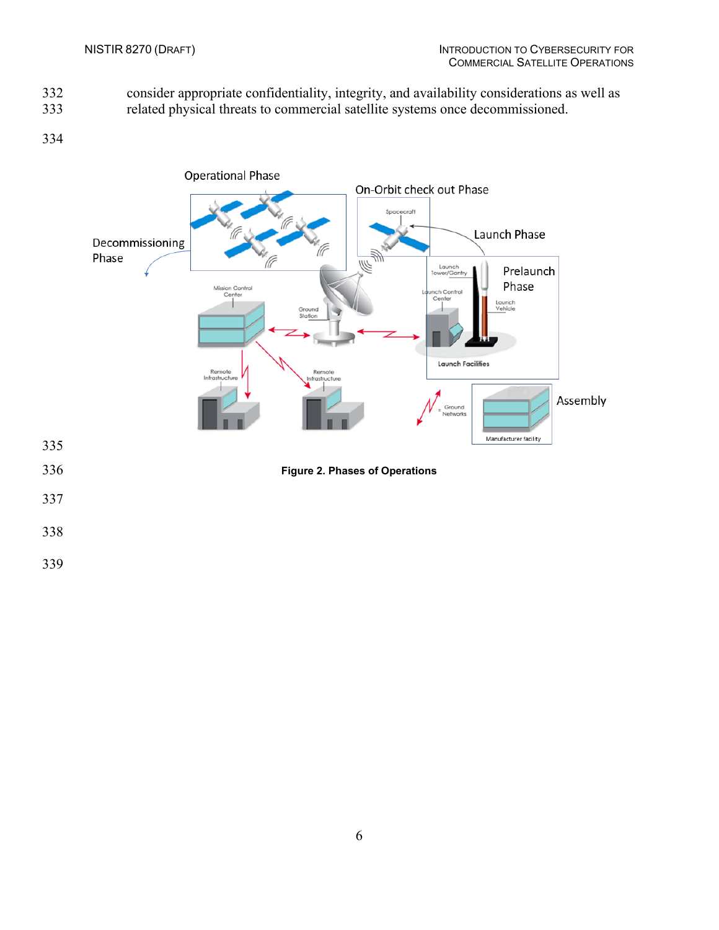- 332 consider appropriate confidentiality, integrity, and availability considerations as well as related physical threats to commercial satellite systems once decommissioned.
- related physical threats to commercial satellite systems once decommissioned.
- 

<span id="page-12-0"></span>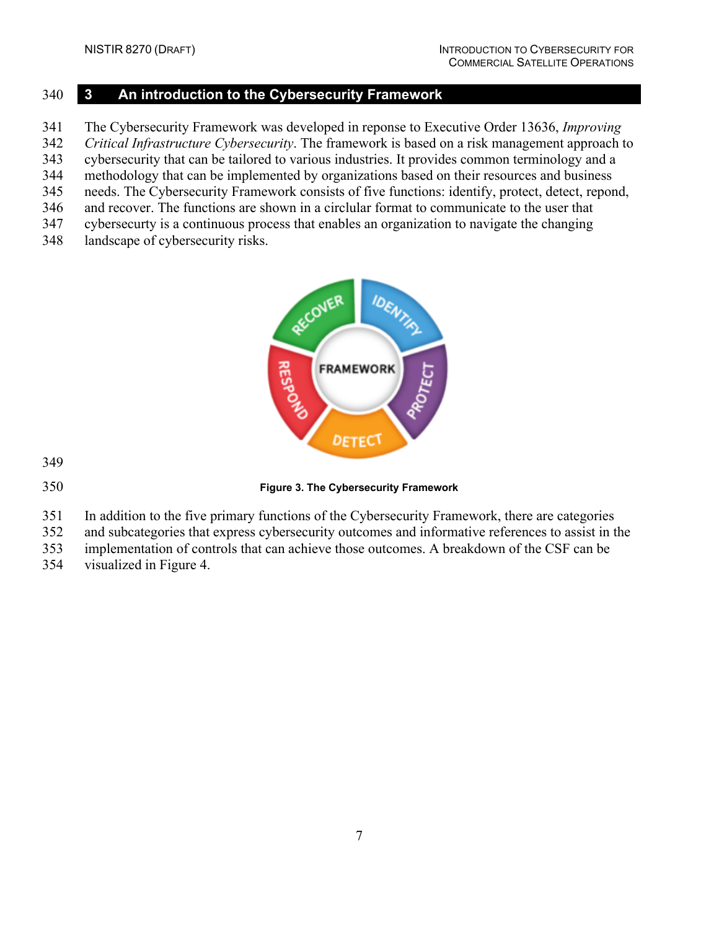#### <span id="page-13-0"></span>**3 An introduction to the Cybersecurity Framework**

The Cybersecurity Framework was developed in reponse to Executive Order 13636, *Improving* 

- *Critical Infrastructure Cybersecurity*. The framework is based on a risk management approach to
- cybersecurity that can be tailored to various industries. It provides common terminology and a
- methodology that can be implemented by organizations based on their resources and business needs. The Cybersecurity Framework consists of five functions: identify, protect, detect, repond,
- and recover. The functions are shown in a circlular format to communicate to the user that
- cybersecurty is a continuous process that enables an organization to navigate the changing
- landscape of cybersecurity risks.



<span id="page-13-1"></span>

**Figure 3. The Cybersecurity Framework**

- In addition to the five primary functions of the Cybersecurity Framework, there are categories
- and subcategories that express cybersecurity outcomes and informative references to assist in the
- implementation of controls that can achieve those outcomes. A breakdown of the CSF can be
- visualized in [Figure 4.](#page-14-0)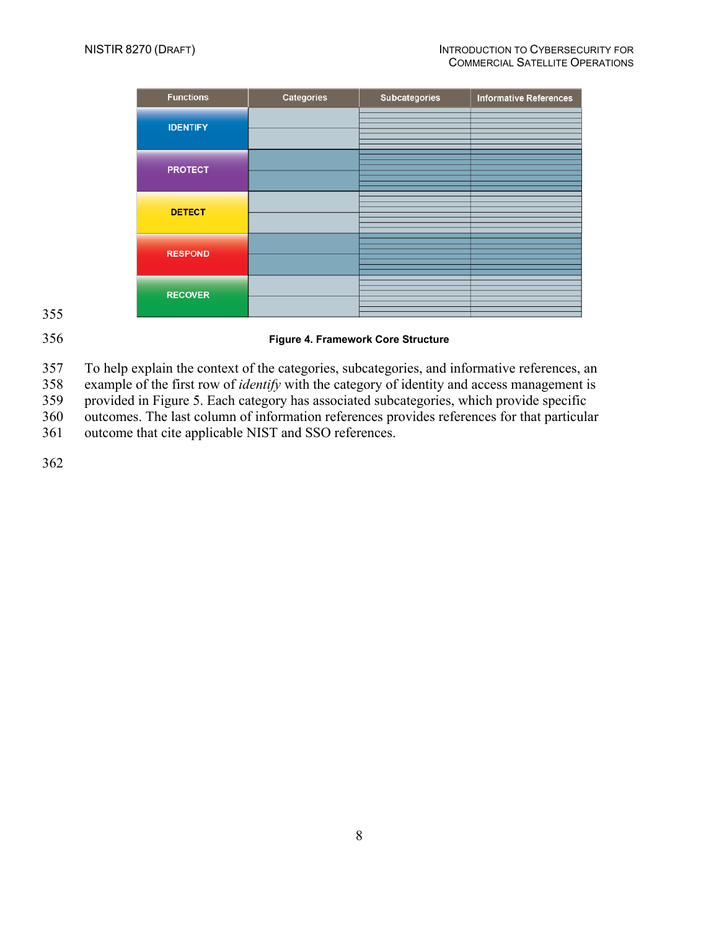| <b>Functions</b> | <b>Categories</b> | Subcategories | <b>Informative References</b> |
|------------------|-------------------|---------------|-------------------------------|
| <b>IDENTIFY</b>  |                   |               |                               |
| <b>PROTECT</b>   |                   |               |                               |
| <b>DETECT</b>    |                   |               |                               |
| <b>RESPOND</b>   |                   |               |                               |
| <b>RECOVER</b>   |                   |               |                               |

355

## <span id="page-14-0"></span>356 **Figure 4. Framework Core Structure**

357 To help explain the context of the categories, subcategories, and informative references, and sample of the first row of *identify* with the category of *identity* and access management is

example of the first row of *identify* with the category of identity and access management is

359 provided in [Figure 5.](#page-15-0) Each category has associated subcategories, which provide specific

360 outcomes. The last column of information references provides references for that particular

361 outcome that cite applicable NIST and SSO references.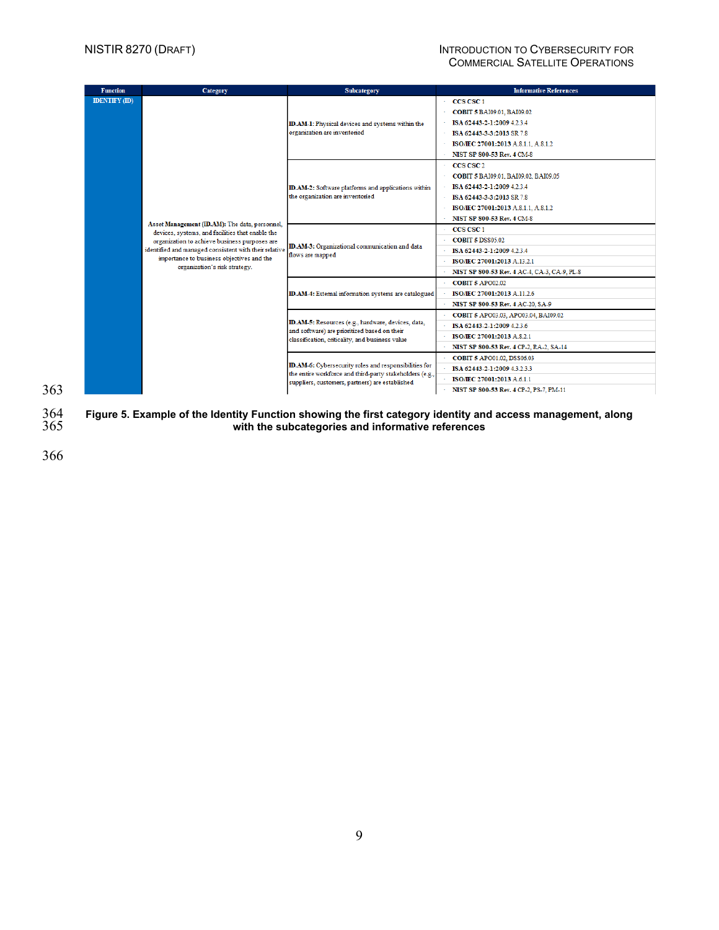#### NISTIR 8270 (DRAFT) INTRODUCTION TO CYBERSECURITY FOR COMMERCIAL SATELLITE OPERATIONS

| <b>Function</b>      | Category                                                                                                                                                                                                                                                                                   | Subcategory                                                                                                      | <b>Informative References</b>                |
|----------------------|--------------------------------------------------------------------------------------------------------------------------------------------------------------------------------------------------------------------------------------------------------------------------------------------|------------------------------------------------------------------------------------------------------------------|----------------------------------------------|
| <b>IDENTIFY (ID)</b> |                                                                                                                                                                                                                                                                                            |                                                                                                                  | CCS CSC <sub>1</sub>                         |
|                      |                                                                                                                                                                                                                                                                                            |                                                                                                                  | COBIT 5 BAI09.01, BAI09.02                   |
|                      |                                                                                                                                                                                                                                                                                            | ID.AM-1: Physical devices and systems within the                                                                 | ISA 62443-2-1:2009 4.2.3.4                   |
|                      |                                                                                                                                                                                                                                                                                            | organization are inventoried                                                                                     | ISA 62443-3-3:2013 SR 7.8                    |
|                      |                                                                                                                                                                                                                                                                                            |                                                                                                                  | ISO/IEC 27001:2013 A.8.1.1, A.8.1.2          |
|                      |                                                                                                                                                                                                                                                                                            |                                                                                                                  | <b>NIST SP 800-53 Rev. 4 CM-8</b>            |
|                      |                                                                                                                                                                                                                                                                                            |                                                                                                                  | CCS CSC <sub>2</sub>                         |
|                      |                                                                                                                                                                                                                                                                                            |                                                                                                                  | COBIT 5 BAI09.01, BAI09.02, BAI09.05         |
|                      |                                                                                                                                                                                                                                                                                            | ID.AM-2: Software platforms and applications within                                                              | ISA 62443-2-1:2009 4.2.3.4                   |
|                      |                                                                                                                                                                                                                                                                                            | the organization are inventoried                                                                                 | ISA 62443-3-3:2013 SR 7.8                    |
|                      |                                                                                                                                                                                                                                                                                            |                                                                                                                  | ISO/IEC 27001:2013 A.8.1.1, A.8.1.2          |
|                      |                                                                                                                                                                                                                                                                                            |                                                                                                                  | <b>NIST SP 800-53 Rev. 4 CM-8</b>            |
|                      | Asset Management (ID.AM): The data, personnel,<br>devices, systems, and facilities that enable the<br>organization to achieve business purposes are<br>identified and managed consistent with their relative<br>importance to business objectives and the<br>organization's risk strategy. | ID.AM-3: Organizational communication and data<br>flows are mapped                                               | CCS CSC 1                                    |
|                      |                                                                                                                                                                                                                                                                                            |                                                                                                                  | <b>COBIT 5 DSS05.02</b>                      |
|                      |                                                                                                                                                                                                                                                                                            |                                                                                                                  | ISA 62443-2-1:2009 4.2.3.4                   |
|                      |                                                                                                                                                                                                                                                                                            |                                                                                                                  | ISO/IEC 27001:2013 A.13.2.1                  |
|                      |                                                                                                                                                                                                                                                                                            |                                                                                                                  | NIST SP 800-53 Rev. 4 AC-4, CA-3, CA-9, PL-8 |
|                      |                                                                                                                                                                                                                                                                                            | ID.AM-4: External information systems are catalogued                                                             | <b>COBIT 5 APO02.02</b>                      |
|                      |                                                                                                                                                                                                                                                                                            |                                                                                                                  | ISO/IEC 27001:2013 A.11.2.6                  |
|                      |                                                                                                                                                                                                                                                                                            |                                                                                                                  | NIST SP 800-53 Rev. 4 AC-20, SA-9            |
|                      |                                                                                                                                                                                                                                                                                            |                                                                                                                  | COBIT 5 APO03.03, APO03.04, BAI09.02         |
|                      |                                                                                                                                                                                                                                                                                            | ID.AM-5: Resources (e.g., hardware, devices, data,<br>and software) are prioritized based on their               | ISA 62443-2-1:2009 4.2.3.6                   |
|                      |                                                                                                                                                                                                                                                                                            | classification, criticality, and business value                                                                  | ISO/IEC 27001:2013 A.8.2.1                   |
|                      |                                                                                                                                                                                                                                                                                            |                                                                                                                  | NIST SP 800-53 Rev. 4 CP-2, RA-2, SA-14      |
|                      |                                                                                                                                                                                                                                                                                            |                                                                                                                  | COBIT 5 APO01.02, DSS06.03                   |
|                      |                                                                                                                                                                                                                                                                                            | ID.AM-6: Cybersecurity roles and responsibilities for<br>the entire workforce and third-party stakeholders (e.g. | ISA 62443-2-1:2009 43233                     |
|                      |                                                                                                                                                                                                                                                                                            | suppliers, customers, partners) are established                                                                  | ISO/IEC 27001:2013 A.6.1.1                   |
|                      |                                                                                                                                                                                                                                                                                            |                                                                                                                  | NIST SP 800-53 Rev. 4 CP-2, PS-7, PM-11      |

<span id="page-15-0"></span> **Figure 5. Example of the Identity Function showing the first category identity and access management, along with the subcategories and informative references**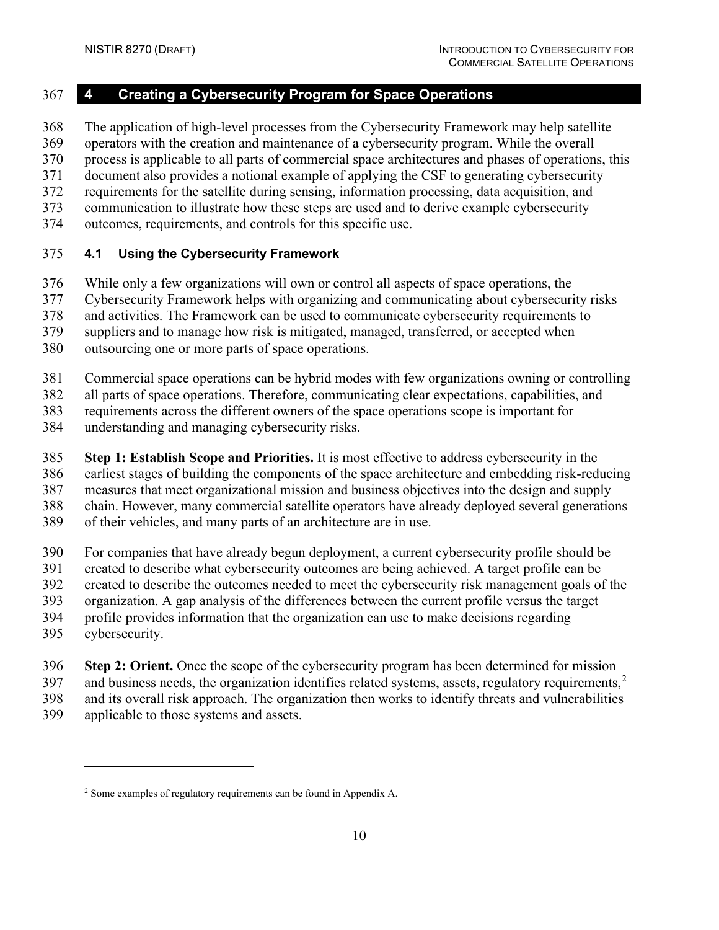#### <span id="page-16-0"></span>**4 Creating a Cybersecurity Program for Space Operations**

The application of high-level processes from the Cybersecurity Framework may help satellite

operators with the creation and maintenance of a cybersecurity program. While the overall

process is applicable to all parts of commercial space architectures and phases of operations, this

 document also provides a notional example of applying the CSF to generating cybersecurity requirements for the satellite during sensing, information processing, data acquisition, and

- communication to illustrate how these steps are used and to derive example cybersecurity
- outcomes, requirements, and controls for this specific use.
- 

## <span id="page-16-1"></span>**4.1 Using the Cybersecurity Framework**

While only a few organizations will own or control all aspects of space operations, the

Cybersecurity Framework helps with organizing and communicating about cybersecurity risks

and activities. The Framework can be used to communicate cybersecurity requirements to

suppliers and to manage how risk is mitigated, managed, transferred, or accepted when

- outsourcing one or more parts of space operations.
- Commercial space operations can be hybrid modes with few organizations owning or controlling

all parts of space operations. Therefore, communicating clear expectations, capabilities, and

requirements across the different owners of the space operations scope is important for

understanding and managing cybersecurity risks.

**Step 1: Establish Scope and Priorities.** It is most effective to address cybersecurity in the

earliest stages of building the components of the space architecture and embedding risk-reducing

measures that meet organizational mission and business objectives into the design and supply

- chain. However, many commercial satellite operators have already deployed several generations
- of their vehicles, and many parts of an architecture are in use.
- For companies that have already begun deployment, a current cybersecurity profile should be
- created to describe what cybersecurity outcomes are being achieved. A target profile can be
- created to describe the outcomes needed to meet the cybersecurity risk management goals of the
- organization. A gap analysis of the differences between the current profile versus the target
- profile provides information that the organization can use to make decisions regarding
- cybersecurity.
- **Step 2: Orient.** Once the scope of the cybersecurity program has been determined for mission
- 397 and business needs, the organization identifies related systems, assets, regulatory requirements,

and its overall risk approach. The organization then works to identify threats and vulnerabilities

applicable to those systems and assets.

<span id="page-16-2"></span>Some examples of regulatory requirements can be found i[n Appendix A.](#page-29-0)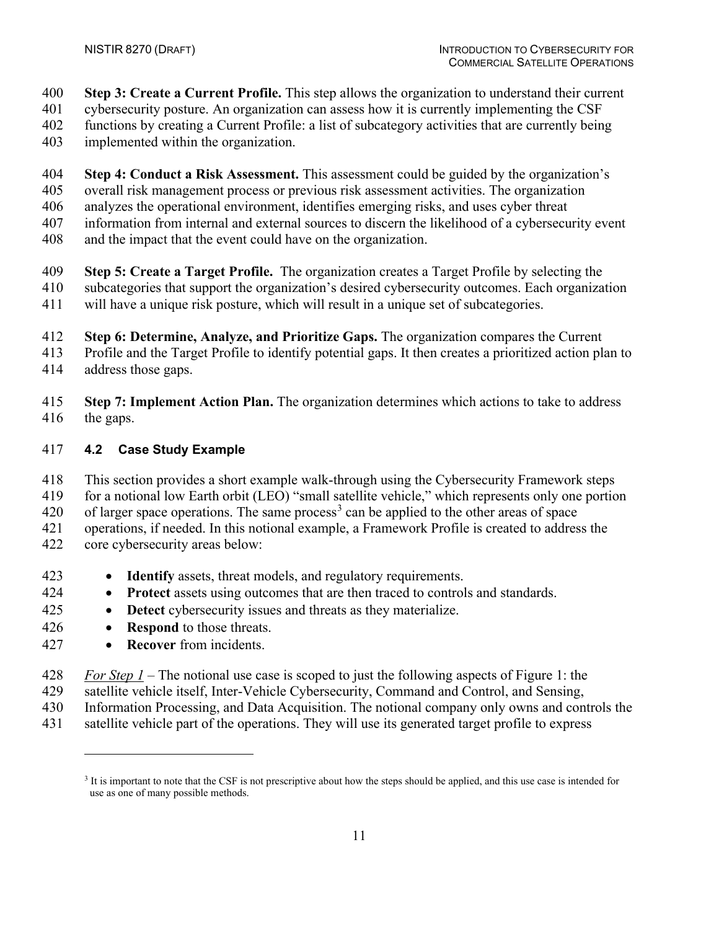- **Step 3: Create a Current Profile.** This step allows the organization to understand their current
- cybersecurity posture. An organization can assess how it is currently implementing the CSF
- functions by creating a Current Profile: a list of subcategory activities that are currently being
- implemented within the organization.
- **Step 4: Conduct a Risk Assessment.** This assessment could be guided by the organization's
- overall risk management process or previous risk assessment activities. The organization
- analyzes the operational environment, identifies emerging risks, and uses cyber threat
- information from internal and external sources to discern the likelihood of a cybersecurity event
- and the impact that the event could have on the organization.
- **Step 5: Create a Target Profile.** The organization creates a Target Profile by selecting the
- subcategories that support the organization's desired cybersecurity outcomes. Each organization
- will have a unique risk posture, which will result in a unique set of subcategories.
- **Step 6: Determine, Analyze, and Prioritize Gaps.** The organization compares the Current
- Profile and the Target Profile to identify potential gaps. It then creates a prioritized action plan to
- address those gaps.
- **Step 7: Implement Action Plan.** The organization determines which actions to take to address the gaps.

# <span id="page-17-0"></span>**4.2 Case Study Example**

- This section provides a short example walk-through using the Cybersecurity Framework steps
- for a notional low Earth orbit (LEO) "small satellite vehicle," which represents only one portion
- 420 of larger space operations. The same process<sup>[3](#page-17-1)</sup> can be applied to the other areas of space
- operations, if needed. In this notional example, a Framework Profile is created to address the
- core cybersecurity areas below:
- **Identify** assets, threat models, and regulatory requirements.
- **Protect** assets using outcomes that are then traced to controls and standards.
- **Detect** cybersecurity issues and threats as they materialize.
- **Respond** to those threats.
- **Recover** from incidents.
- *For Step 1* The notional use case is scoped to just the following aspects of Figure 1: the
- satellite vehicle itself, Inter-Vehicle Cybersecurity, Command and Control, and Sensing,
- Information Processing, and Data Acquisition. The notional company only owns and controls the
- <span id="page-17-1"></span>satellite vehicle part of the operations. They will use its generated target profile to express

<sup>&</sup>lt;sup>3</sup> It is important to note that the CSF is not prescriptive about how the steps should be applied, and this use case is intended for use as one of many possible methods.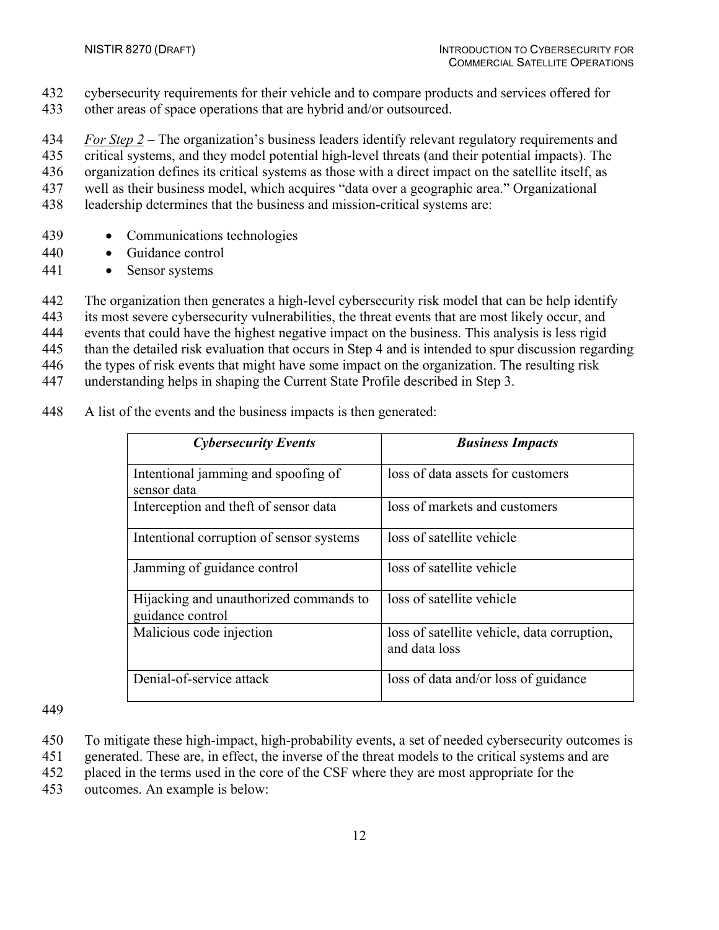- cybersecurity requirements for their vehicle and to compare products and services offered for
- other areas of space operations that are hybrid and/or outsourced.

*For Step 2* – The organization's business leaders identify relevant regulatory requirements and

critical systems, and they model potential high-level threats (and their potential impacts). The

organization defines its critical systems as those with a direct impact on the satellite itself, as

- well as their business model, which acquires "data over a geographic area." Organizational
- leadership determines that the business and mission-critical systems are:
- Communications technologies
- Guidance control
- Sensor systems

The organization then generates a high-level cybersecurity risk model that can be help identify

its most severe cybersecurity vulnerabilities, the threat events that are most likely occur, and

events that could have the highest negative impact on the business. This analysis is less rigid

than the detailed risk evaluation that occurs in Step 4 and is intended to spur discussion regarding

the types of risk events that might have some impact on the organization. The resulting risk

understanding helps in shaping the Current State Profile described in Step 3.

A list of the events and the business impacts is then generated:

| <b>Cybersecurity Events</b>                                | <b>Business Impacts</b>                                      |
|------------------------------------------------------------|--------------------------------------------------------------|
| Intentional jamming and spoofing of<br>sensor data         | loss of data assets for customers                            |
| Interception and theft of sensor data                      | loss of markets and customers                                |
| Intentional corruption of sensor systems                   | loss of satellite vehicle                                    |
| Jamming of guidance control                                | loss of satellite vehicle                                    |
| Hijacking and unauthorized commands to<br>guidance control | loss of satellite vehicle                                    |
| Malicious code injection                                   | loss of satellite vehicle, data corruption,<br>and data loss |
| Denial-of-service attack                                   | loss of data and/or loss of guidance                         |

- To mitigate these high-impact, high-probability events, a set of needed cybersecurity outcomes is
- generated. These are, in effect, the inverse of the threat models to the critical systems and are
- placed in the terms used in the core of the CSF where they are most appropriate for the
- outcomes. An example is below: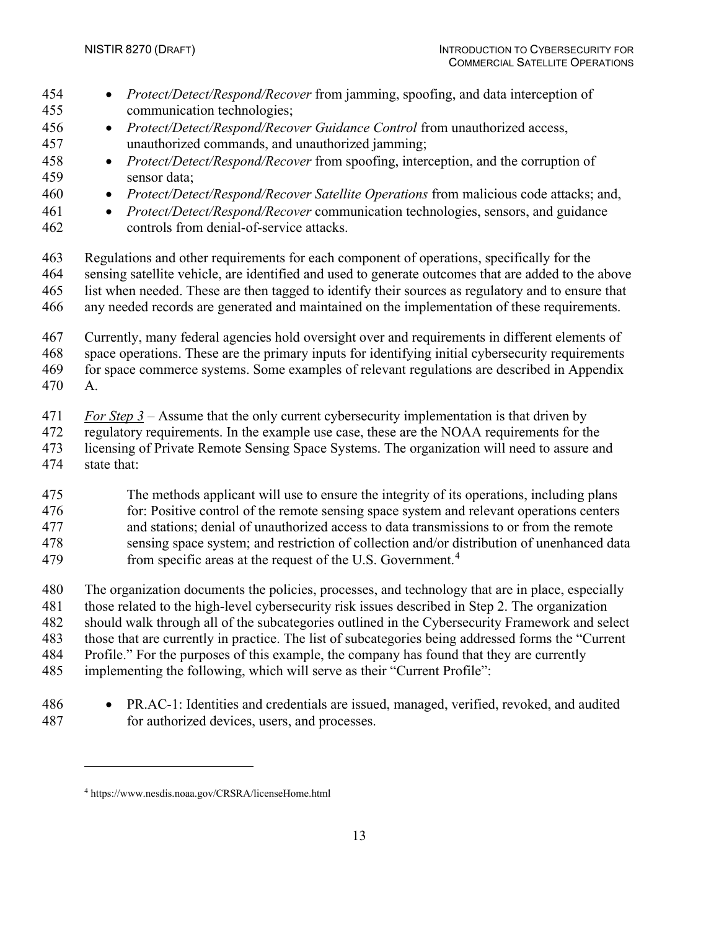- *Protect/Detect/Respond/Recover* from jamming, spoofing, and data interception of communication technologies; • *Protect/Detect/Respond/Recover Guidance Control* from unauthorized access, unauthorized commands, and unauthorized jamming; • *Protect/Detect/Respond/Recover* from spoofing, interception, and the corruption of sensor data; • *Protect/Detect/Respond/Recover Satellite Operations* from malicious code attacks; and, • *Protect/Detect/Respond/Recover* communication technologies, sensors, and guidance controls from denial-of-service attacks. Regulations and other requirements for each component of operations, specifically for the sensing satellite vehicle, are identified and used to generate outcomes that are added to the above list when needed. These are then tagged to identify their sources as regulatory and to ensure that any needed records are generated and maintained on the implementation of these requirements. Currently, many federal agencies hold oversight over and requirements in different elements of space operations. These are the primary inputs for identifying initial cybersecurity requirements for space commerce systems. Some examples of relevant regulations are described in [Appendix](#page-29-0)  [A.](#page-29-0) *For Step 3* – Assume that the only current cybersecurity implementation is that driven by regulatory requirements. In the example use case, these are the NOAA requirements for the licensing of Private Remote Sensing Space Systems. The organization will need to assure and state that: The methods applicant will use to ensure the integrity of its operations, including plans 476 for: Positive control of the remote sensing space system and relevant operations centers and stations; denial of unauthorized access to data transmissions to or from the remote sensing space system; and restriction of collection and/or distribution of unenhanced data 79 from specific areas at the request of the U.S. Government.<sup>4</sup> The organization documents the policies, processes, and technology that are in place, especially those related to the high-level cybersecurity risk issues described in Step 2. The organization should walk through all of the subcategories outlined in the Cybersecurity Framework and select those that are currently in practice. The list of subcategories being addressed forms the "Current Profile." For the purposes of this example, the company has found that they are currently
- implementing the following, which will serve as their "Current Profile":
- PR.AC-1: Identities and credentials are issued, managed, verified, revoked, and audited for authorized devices, users, and processes.

<span id="page-19-0"></span>https://www.nesdis.noaa.gov/CRSRA/licenseHome.html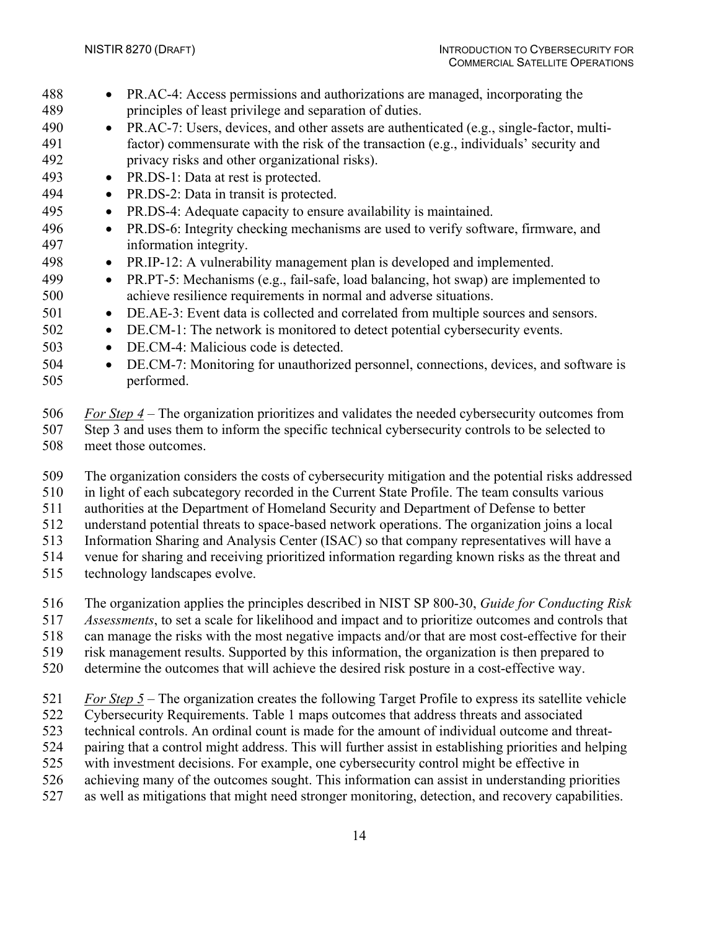- PR.AC-4: Access permissions and authorizations are managed, incorporating the principles of least privilege and separation of duties.
- PR.AC-7: Users, devices, and other assets are authenticated (e.g., single-factor, multi- factor) commensurate with the risk of the transaction (e.g., individuals' security and privacy risks and other organizational risks).
- PR.DS-1: Data at rest is protected.
- PR.DS-2: Data in transit is protected.
- PR.DS-4: Adequate capacity to ensure availability is maintained.
- PR.DS-6: Integrity checking mechanisms are used to verify software, firmware, and information integrity.
- PR.IP-12: A vulnerability management plan is developed and implemented.
- PR.PT-5: Mechanisms (e.g., fail-safe, load balancing, hot swap) are implemented to achieve resilience requirements in normal and adverse situations.
- 501 DE.AE-3: Event data is collected and correlated from multiple sources and sensors.
- DE.CM-1: The network is monitored to detect potential cybersecurity events.
- DE.CM-4: Malicious code is detected.
- DE.CM-7: Monitoring for unauthorized personnel, connections, devices, and software is performed.
- *For Step 4* The organization prioritizes and validates the needed cybersecurity outcomes from Step 3 and uses them to inform the specific technical cybersecurity controls to be selected to meet those outcomes.
- The organization considers the costs of cybersecurity mitigation and the potential risks addressed
- in light of each subcategory recorded in the Current State Profile. The team consults various
- authorities at the Department of Homeland Security and Department of Defense to better
- understand potential threats to space-based network operations. The organization joins a local
- Information Sharing and Analysis Center (ISAC) so that company representatives will have a
- venue for sharing and receiving prioritized information regarding known risks as the threat and
- technology landscapes evolve.
- The organization applies the principles described in NIST SP 800-30, *Guide for Conducting Risk*
- *Assessments*, to set a scale for likelihood and impact and to prioritize outcomes and controls that
- can manage the risks with the most negative impacts and/or that are most cost-effective for their
- risk management results. Supported by this information, the organization is then prepared to
- determine the outcomes that will achieve the desired risk posture in a cost-effective way.
- *For Step 5* The organization creates the following Target Profile to express its satellite vehicle
- Cybersecurity Requirements. [Table 1](#page-21-0) maps outcomes that address threats and associated
- technical controls. An ordinal count is made for the amount of individual outcome and threat-
- pairing that a control might address. This will further assist in establishing priorities and helping
- with investment decisions. For example, one cybersecurity control might be effective in
- achieving many of the outcomes sought. This information can assist in understanding priorities
- as well as mitigations that might need stronger monitoring, detection, and recovery capabilities.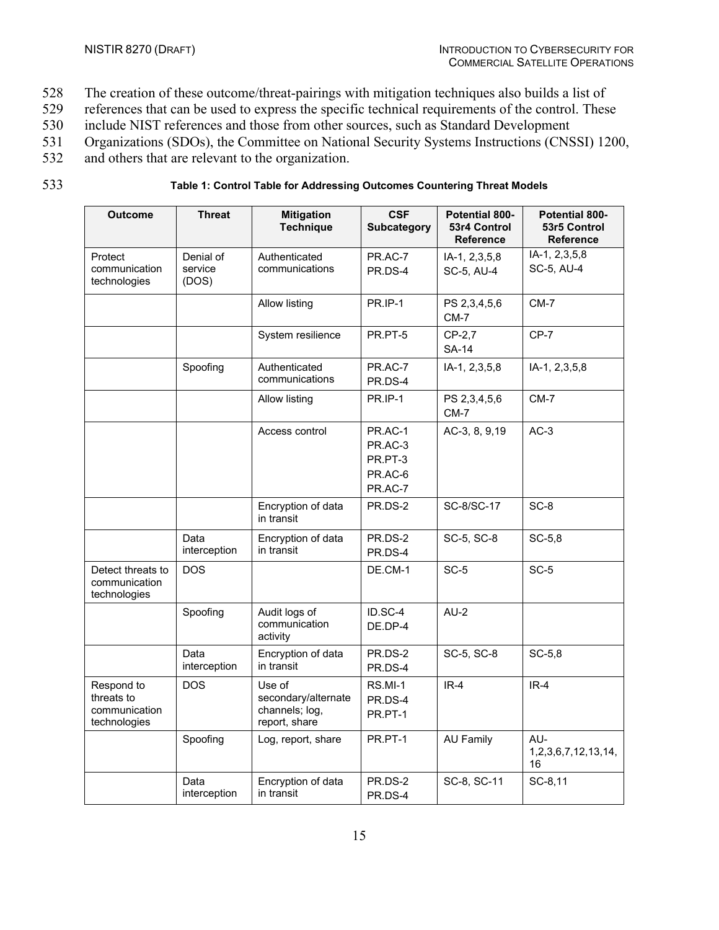- 528 The creation of these outcome/threat-pairings with mitigation techniques also builds a list of
- 529 references that can be used to express the specific technical requirements of the control. These
- 530 include NIST references and those from other sources, such as Standard Development
- 531 Organizations (SDOs), the Committee on National Security Systems Instructions (CNSSI) 1200,
- 532 and others that are relevant to the organization.
- 

# 533 **Table 1: Control Table for Addressing Outcomes Countering Threat Models**

<span id="page-21-0"></span>

| <b>Outcome</b>                                            | <b>Threat</b>                 | <b>Mitigation</b><br><b>Technique</b>                            | <b>CSF</b><br><b>Subcategory</b>                    | Potential 800-<br>53r4 Control<br><b>Reference</b> | Potential 800-<br>53r5 Control<br><b>Reference</b> |
|-----------------------------------------------------------|-------------------------------|------------------------------------------------------------------|-----------------------------------------------------|----------------------------------------------------|----------------------------------------------------|
| Protect<br>communication<br>technologies                  | Denial of<br>service<br>(DOS) | Authenticated<br>communications                                  | PR.AC-7<br>PR.DS-4                                  | IA-1, 2,3,5,8<br>SC-5, AU-4                        | $IA-1, 2, 3, 5, 8$<br>SC-5, AU-4                   |
|                                                           |                               | <b>Allow listing</b>                                             | PR.IP-1                                             | PS 2,3,4,5,6<br>$CM-7$                             | $CM-7$                                             |
|                                                           |                               | System resilience                                                | PR.PT-5                                             | CP-2,7<br><b>SA-14</b>                             | $CP-7$                                             |
|                                                           | Spoofing                      | Authenticated<br>communications                                  | PR.AC-7<br>PR.DS-4                                  | IA-1, 2,3,5,8                                      | IA-1, 2,3,5,8                                      |
|                                                           |                               | Allow listing                                                    | <b>PR.IP-1</b>                                      | PS 2,3,4,5,6<br>$CM-7$                             | CM-7                                               |
|                                                           |                               | Access control                                                   | PR.AC-1<br>PR.AC-3<br>PR.PT-3<br>PR.AC-6<br>PR.AC-7 | AC-3, 8, 9,19                                      | $AC-3$                                             |
|                                                           |                               | Encryption of data<br>in transit                                 | PR.DS-2                                             | SC-8/SC-17                                         | SC-8                                               |
|                                                           | Data<br>interception          | Encryption of data<br>in transit                                 | PR.DS-2<br>PR.DS-4                                  | SC-5, SC-8                                         | $SC-5,8$                                           |
| Detect threats to<br>communication<br>technologies        | <b>DOS</b>                    |                                                                  | DE.CM-1                                             | $SC-5$                                             | SC-5                                               |
|                                                           | Spoofing                      | Audit logs of<br>communication<br>activity                       | ID.SC-4<br>DE.DP-4                                  | $AU-2$                                             |                                                    |
|                                                           | Data<br>interception          | Encryption of data<br>in transit                                 | PR.DS-2<br>PR.DS-4                                  | SC-5, SC-8                                         | $SC-5,8$                                           |
| Respond to<br>threats to<br>communication<br>technologies | <b>DOS</b>                    | Use of<br>secondary/alternate<br>channels; log,<br>report, share | RS.MI-1<br>PR.DS-4<br>PR.PT-1                       | $IR-4$                                             | $IR-4$                                             |
|                                                           | Spoofing                      | Log, report, share                                               | PR.PT-1                                             | <b>AU Family</b>                                   | AU-<br>1, 2, 3, 6, 7, 12, 13, 14,<br>16            |
|                                                           | Data<br>interception          | Encryption of data<br>in transit                                 | PR.DS-2<br>PR.DS-4                                  | SC-8, SC-11                                        | SC-8,11                                            |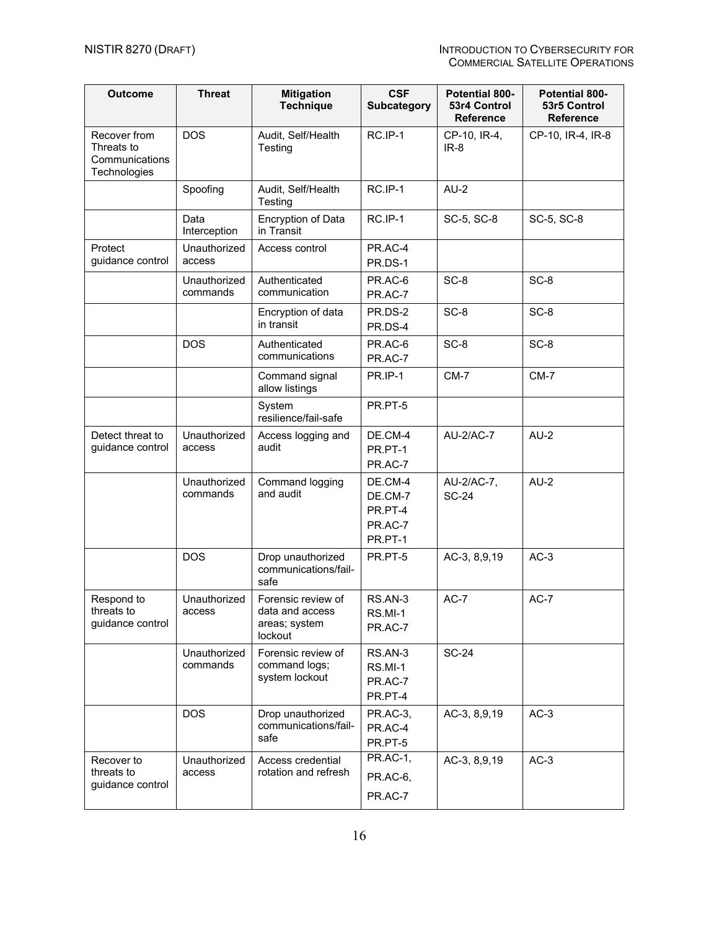| <b>Outcome</b>                                               | <b>Threat</b>            | <b>Mitigation</b><br><b>Technique</b>                             | <b>CSF</b><br><b>Subcategory</b>                    | Potential 800-<br>53r4 Control<br><b>Reference</b> | <b>Potential 800-</b><br>53r5 Control<br><b>Reference</b> |
|--------------------------------------------------------------|--------------------------|-------------------------------------------------------------------|-----------------------------------------------------|----------------------------------------------------|-----------------------------------------------------------|
| Recover from<br>Threats to<br>Communications<br>Technologies | <b>DOS</b>               | Audit, Self/Health<br>Testing                                     | RC.IP-1                                             | CP-10, IR-4,<br>$IR-8$                             | CP-10, IR-4, IR-8                                         |
|                                                              | Spoofing                 | Audit, Self/Health<br>Testing                                     | RC.IP-1                                             | $AU-2$                                             |                                                           |
|                                                              | Data<br>Interception     | <b>Encryption of Data</b><br>in Transit                           | RC.IP-1                                             | SC-5, SC-8                                         | SC-5, SC-8                                                |
| Protect<br>guidance control                                  | Unauthorized<br>access   | Access control                                                    | PR.AC-4<br>PR.DS-1                                  |                                                    |                                                           |
|                                                              | Unauthorized<br>commands | Authenticated<br>communication                                    | PR.AC-6<br>PR.AC-7                                  | SC-8                                               | SC-8                                                      |
|                                                              |                          | Encryption of data<br>in transit                                  | PR.DS-2<br>PR.DS-4                                  | SC-8                                               | SC-8                                                      |
|                                                              | <b>DOS</b>               | Authenticated<br>communications                                   | PR.AC-6<br>PR.AC-7                                  | SC-8                                               | SC-8                                                      |
|                                                              |                          | Command signal<br>allow listings                                  | <b>PR.IP-1</b>                                      | $CM-7$                                             | $CM-7$                                                    |
|                                                              |                          | System<br>resilience/fail-safe                                    | PR.PT-5                                             |                                                    |                                                           |
| Detect threat to<br>guidance control                         | Unauthorized<br>access   | Access logging and<br>audit                                       | DE.CM-4<br>PR.PT-1<br>PR.AC-7                       | AU-2/AC-7                                          | $AU-2$                                                    |
|                                                              | Unauthorized<br>commands | Command logging<br>and audit                                      | DE.CM-4<br>DE.CM-7<br>PR.PT-4<br>PR.AC-7<br>PR.PT-1 | AU-2/AC-7,<br><b>SC-24</b>                         | $AU-2$                                                    |
|                                                              | <b>DOS</b>               | Drop unauthorized<br>communications/fail-<br>safe                 | PR.PT-5                                             | AC-3, 8,9,19                                       | $AC-3$                                                    |
| Respond to<br>threats to<br>guidance control                 | Unauthorized<br>access   | Forensic review of<br>data and access<br>areas; system<br>lockout | RS.AN-3<br><b>RS.MI-1</b><br>PR.AC-7                | AC-7                                               | $AC-7$                                                    |
|                                                              | Unauthorized<br>commands | Forensic review of<br>command logs;<br>system lockout             | RS.AN-3<br>RS.MI-1<br>PR.AC-7<br>PR.PT-4            | <b>SC-24</b>                                       |                                                           |
|                                                              | <b>DOS</b>               | Drop unauthorized<br>communications/fail-<br>safe                 | PR.AC-3,<br>PR.AC-4<br>PR.PT-5                      | AC-3, 8,9,19                                       | $AC-3$                                                    |
| Recover to<br>threats to<br>guidance control                 | Unauthorized<br>access   | Access credential<br>rotation and refresh                         | PR.AC-1,<br>PR.AC-6,<br>PR.AC-7                     | AC-3, 8,9,19                                       | $AC-3$                                                    |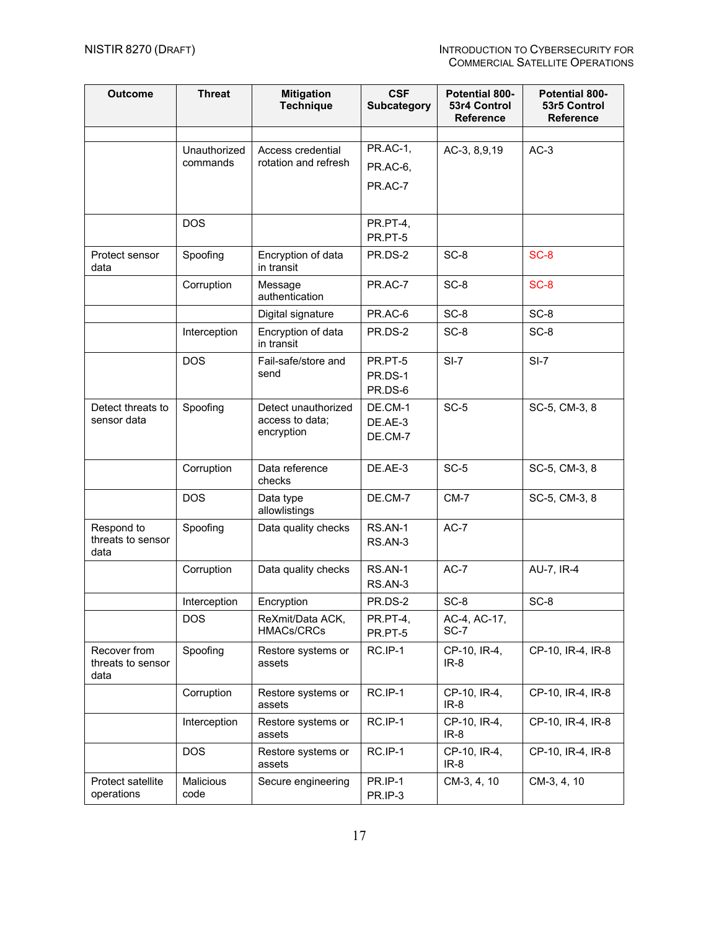| <b>Outcome</b>                            | <b>Threat</b>            | <b>Mitigation</b><br><b>Technique</b>                | <b>CSF</b><br><b>Subcategory</b> | Potential 800-<br>53r4 Control<br>Reference | <b>Potential 800-</b><br>53r5 Control<br><b>Reference</b> |
|-------------------------------------------|--------------------------|------------------------------------------------------|----------------------------------|---------------------------------------------|-----------------------------------------------------------|
|                                           |                          |                                                      |                                  |                                             |                                                           |
|                                           | Unauthorized             | Access credential                                    | <b>PR.AC-1,</b>                  | AC-3, 8,9,19                                | $AC-3$                                                    |
|                                           | commands                 | rotation and refresh                                 | PR.AC-6,                         |                                             |                                                           |
|                                           |                          |                                                      | PR.AC-7                          |                                             |                                                           |
|                                           | <b>DOS</b>               |                                                      | PR.PT-4,                         |                                             |                                                           |
|                                           |                          |                                                      | PR.PT-5                          |                                             |                                                           |
| Protect sensor<br>data                    | Spoofing                 | Encryption of data<br>in transit                     | PR.DS-2                          | SC-8                                        | SC-8                                                      |
|                                           | Corruption               | Message<br>authentication                            | PR.AC-7                          | SC-8                                        | SC-8                                                      |
|                                           |                          | Digital signature                                    | PR.AC-6                          | SC-8                                        | SC-8                                                      |
|                                           | Interception             | Encryption of data<br>in transit                     | PR.DS-2                          | SC-8                                        | SC-8                                                      |
|                                           | <b>DOS</b>               | Fail-safe/store and<br>send                          | PR.PT-5<br>PR.DS-1<br>PR.DS-6    | $SI-7$                                      | $SI-7$                                                    |
| Detect threats to<br>sensor data          | Spoofing                 | Detect unauthorized<br>access to data;<br>encryption | DE.CM-1<br>DE.AE-3<br>DE.CM-7    | $SC-5$                                      | SC-5, CM-3, 8                                             |
|                                           | Corruption               | Data reference<br>checks                             | DE.AE-3                          | $SC-5$                                      | SC-5, CM-3, 8                                             |
|                                           | <b>DOS</b>               | Data type<br>allowlistings                           | DE.CM-7                          | $CM-7$                                      | SC-5, CM-3, 8                                             |
| Respond to<br>threats to sensor<br>data   | Spoofing                 | Data quality checks                                  | RS.AN-1<br>RS.AN-3               | $AC-7$                                      |                                                           |
|                                           | Corruption               | Data quality checks                                  | RS.AN-1<br>RS.AN-3               | AC-7                                        | AU-7, IR-4                                                |
|                                           | Interception             | Encryption                                           | PR.DS-2                          | SC-8                                        | SC-8                                                      |
|                                           | <b>DOS</b>               | ReXmit/Data ACK,<br><b>HMACs/CRCs</b>                | PR.PT-4,<br>PR.PT-5              | AC-4, AC-17,<br>SC-7                        |                                                           |
| Recover from<br>threats to sensor<br>data | Spoofing                 | Restore systems or<br>assets                         | RC.IP-1                          | CP-10, IR-4,<br>$IR-8$                      | CP-10, IR-4, IR-8                                         |
|                                           | Corruption               | Restore systems or<br>assets                         | RC.IP-1                          | CP-10, IR-4,<br>$IR-8$                      | CP-10, IR-4, IR-8                                         |
|                                           | Interception             | Restore systems or<br>assets                         | RC.IP-1                          | CP-10, IR-4,<br>$IR-8$                      | CP-10, IR-4, IR-8                                         |
|                                           | <b>DOS</b>               | Restore systems or<br>assets                         | RC.IP-1                          | CP-10, IR-4,<br>$IR-8$                      | CP-10, IR-4, IR-8                                         |
| Protect satellite<br>operations           | <b>Malicious</b><br>code | Secure engineering                                   | PR.IP-1<br>PR.IP-3               | CM-3, 4, 10                                 | CM-3, 4, 10                                               |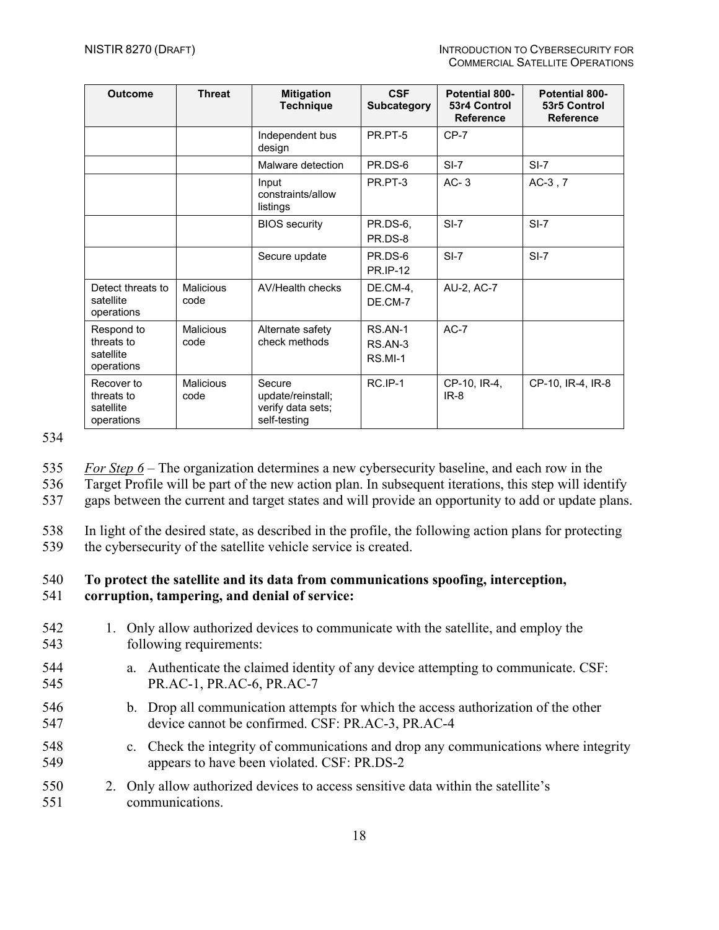| <b>Outcome</b>                                      | <b>Threat</b>            | <b>Mitigation</b><br><b>Technique</b>                            | <b>CSF</b><br><b>Subcategory</b>     | <b>Potential 800-</b><br>53r4 Control<br><b>Reference</b> | <b>Potential 800-</b><br>53r5 Control<br><b>Reference</b> |
|-----------------------------------------------------|--------------------------|------------------------------------------------------------------|--------------------------------------|-----------------------------------------------------------|-----------------------------------------------------------|
|                                                     |                          | Independent bus<br>design                                        | PR.PT-5                              | $CP-7$                                                    |                                                           |
|                                                     |                          | Malware detection                                                | PR.DS-6                              | $SI-7$                                                    | $SI-7$                                                    |
|                                                     |                          | Input<br>constraints/allow<br>listings                           | PR.PT-3                              | $AC-3$                                                    | $AC-3$ , $7$                                              |
|                                                     |                          | <b>BIOS</b> security                                             | PR.DS-6,<br>PR.DS-8                  | $SI-7$                                                    | $SI-7$                                                    |
|                                                     |                          | Secure update                                                    | PR.DS-6<br><b>PR.IP-12</b>           | $SI-7$                                                    | $SI-7$                                                    |
| Detect threats to<br>satellite<br>operations        | Malicious<br>code        | AV/Health checks                                                 | DE.CM-4,<br>DE.CM-7                  | AU-2, AC-7                                                |                                                           |
| Respond to<br>threats to<br>satellite<br>operations | <b>Malicious</b><br>code | Alternate safety<br>check methods                                | RS.AN-1<br>RS.AN-3<br><b>RS.MI-1</b> | $AC-7$                                                    |                                                           |
| Recover to<br>threats to<br>satellite<br>operations | Malicious<br>code        | Secure<br>update/reinstall;<br>verify data sets;<br>self-testing | RC.IP-1                              | CP-10, IR-4,<br>$IR-8$                                    | CP-10, IR-4, IR-8                                         |

534

535 *For Step 6* – The organization determines a new cybersecurity baseline, and each row in the

536 Target Profile will be part of the new action plan. In subsequent iterations, this step will identify

537 gaps between the current and target states and will provide an opportunity to add or update plans.

538 In light of the desired state, as described in the profile, the following action plans for protecting

539 the cybersecurity of the satellite vehicle service is created.

# 540 **To protect the satellite and its data from communications spoofing, interception,**

#### 541 **corruption, tampering, and denial of service:**

| 542<br>543 |  | 1. Only allow authorized devices to communicate with the satellite, and employ the<br>following requirements:   |
|------------|--|-----------------------------------------------------------------------------------------------------------------|
| 544<br>545 |  | a. Authenticate the claimed identity of any device attempting to communicate. CSF:<br>PR.AC-1, PR.AC-6, PR.AC-7 |
| 516        |  | b Drop all communication attempts for which the access authorization of the other                               |

- 546 b. Drop all communication attempts for which the access authorization of the other 547 device cannot be confirmed. CSF: PR.AC-3, PR.AC-4
- 548 c. Check the integrity of communications and drop any communications where integrity 549 appears to have been violated. CSF: PR.DS-2
- 550 2. Only allow authorized devices to access sensitive data within the satellite's 551 communications.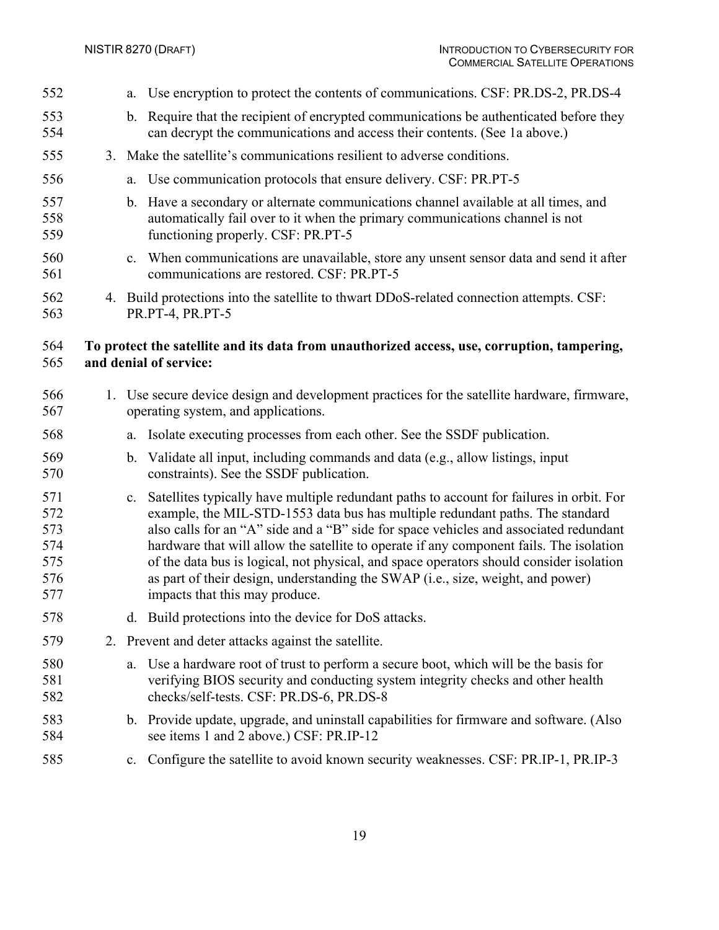a. Use encryption to protect the contents of communications. CSF: PR.DS-2, PR.DS-4 b. Require that the recipient of encrypted communications be authenticated before they can decrypt the communications and access their contents. (See 1a above.) 3. Make the satellite's communications resilient to adverse conditions. a. Use communication protocols that ensure delivery. CSF: PR.PT-5 b. Have a secondary or alternate communications channel available at all times, and automatically fail over to it when the primary communications channel is not functioning properly. CSF: PR.PT-5 c. When communications are unavailable, store any unsent sensor data and send it after communications are restored. CSF: PR.PT-5 4. Build protections into the satellite to thwart DDoS-related connection attempts. CSF: PR.PT-4, PR.PT-5 **To protect the satellite and its data from unauthorized access, use, corruption, tampering, and denial of service:** 1. Use secure device design and development practices for the satellite hardware, firmware, operating system, and applications. a. Isolate executing processes from each other. See the SSDF publication. b. Validate all input, including commands and data (e.g., allow listings, input constraints). See the SSDF publication. c. Satellites typically have multiple redundant paths to account for failures in orbit. For example, the MIL-STD-1553 data bus has multiple redundant paths. The standard also calls for an "A" side and a "B" side for space vehicles and associated redundant hardware that will allow the satellite to operate if any component fails. The isolation of the data bus is logical, not physical, and space operators should consider isolation as part of their design, understanding the SWAP (i.e., size, weight, and power) impacts that this may produce. d. Build protections into the device for DoS attacks. 2. Prevent and deter attacks against the satellite. a. Use a hardware root of trust to perform a secure boot, which will be the basis for verifying BIOS security and conducting system integrity checks and other health checks/self-tests. CSF: PR.DS-6, PR.DS-8 b. Provide update, upgrade, and uninstall capabilities for firmware and software. (Also see items 1 and 2 above.) CSF: PR.IP-12 c. Configure the satellite to avoid known security weaknesses. CSF: PR.IP-1, PR.IP-3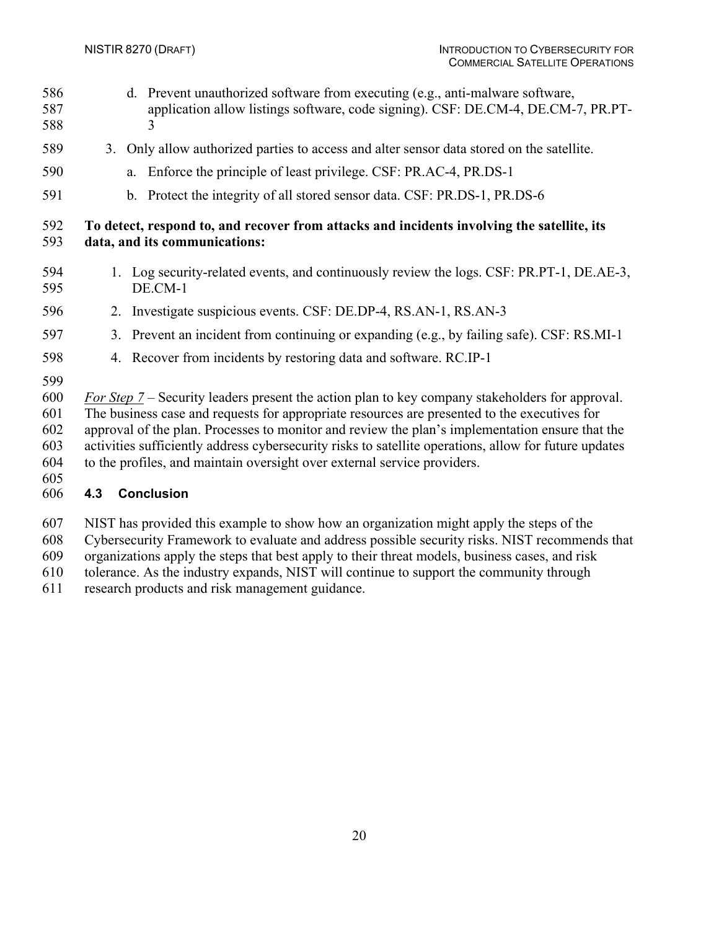- d. Prevent unauthorized software from executing (e.g., anti-malware software, application allow listings software, code signing). CSF: DE.CM-4, DE.CM-7, PR.PT-3
- 3. Only allow authorized parties to access and alter sensor data stored on the satellite.
- a. Enforce the principle of least privilege. CSF: PR.AC-4, PR.DS-1
- b. Protect the integrity of all stored sensor data. CSF: PR.DS-1, PR.DS-6

#### **To detect, respond to, and recover from attacks and incidents involving the satellite, its data, and its communications:**

- 1. Log security-related events, and continuously review the logs. CSF: PR.PT-1, DE.AE-3, DE.CM-1
- 2. Investigate suspicious events. CSF: DE.DP-4, RS.AN-1, RS.AN-3
- 3. Prevent an incident from continuing or expanding (e.g., by failing safe). CSF: RS.MI-1
- 4. Recover from incidents by restoring data and software. RC.IP-1
- 

 *For Step 7* – Security leaders present the action plan to key company stakeholders for approval. The business case and requests for appropriate resources are presented to the executives for approval of the plan. Processes to monitor and review the plan's implementation ensure that the activities sufficiently address cybersecurity risks to satellite operations, allow for future updates to the profiles, and maintain oversight over external service providers.

#### <span id="page-26-0"></span>**4.3 Conclusion**

NIST has provided this example to show how an organization might apply the steps of the

Cybersecurity Framework to evaluate and address possible security risks. NIST recommends that

organizations apply the steps that best apply to their threat models, business cases, and risk

tolerance. As the industry expands, NIST will continue to support the community through

research products and risk management guidance.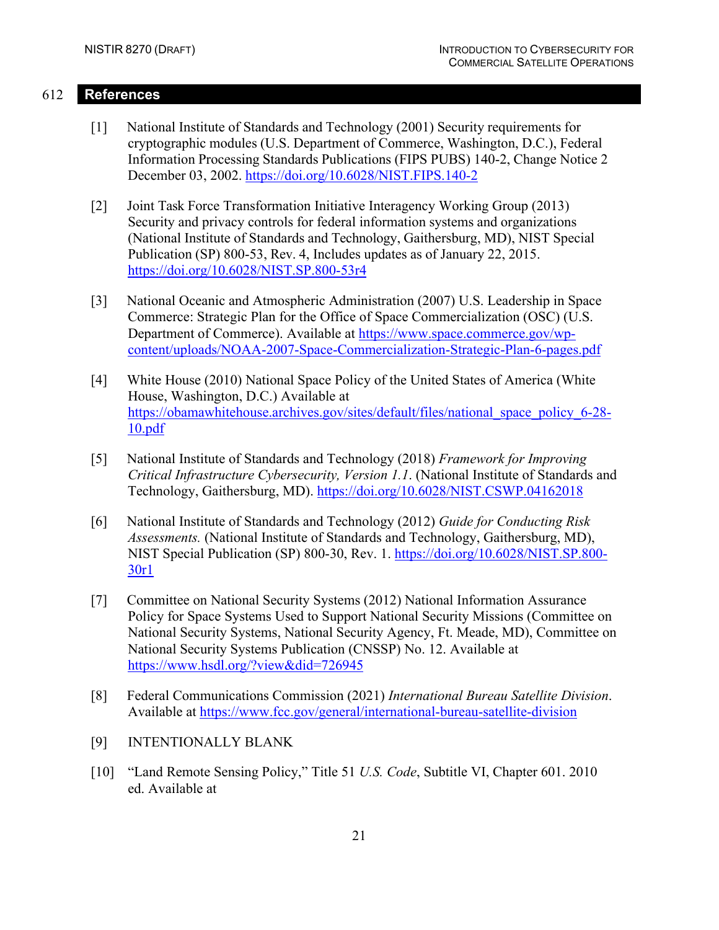#### 612 **References**

- <span id="page-27-0"></span>[1] National Institute of Standards and Technology (2001) Security requirements for cryptographic modules (U.S. Department of Commerce, Washington, D.C.), Federal Information Processing Standards Publications (FIPS PUBS) 140-2, Change Notice 2 December 03, 2002. <https://doi.org/10.6028/NIST.FIPS.140-2>
- [2] Joint Task Force Transformation Initiative Interagency Working Group (2013) Security and privacy controls for federal information systems and organizations (National Institute of Standards and Technology, Gaithersburg, MD), NIST Special Publication (SP) 800-53, Rev. 4, Includes updates as of January 22, 2015. <https://doi.org/10.6028/NIST.SP.800-53r4>
- <span id="page-27-1"></span>[3] National Oceanic and Atmospheric Administration (2007) U.S. Leadership in Space Commerce: Strategic Plan for the Office of Space Commercialization (OSC) (U.S. Department of Commerce). Available at [https://www.space.commerce.gov/wp](https://www.space.commerce.gov/wp-content/uploads/NOAA-2007-Space-Commercialization-Strategic-Plan-6-pages.pdf)[content/uploads/NOAA-2007-Space-Commercialization-Strategic-Plan-6-pages.pdf](https://www.space.commerce.gov/wp-content/uploads/NOAA-2007-Space-Commercialization-Strategic-Plan-6-pages.pdf)
- <span id="page-27-2"></span>[4] White House (2010) National Space Policy of the United States of America (White House, Washington, D.C.) Available at [https://obamawhitehouse.archives.gov/sites/default/files/national\\_space\\_policy\\_6-28-](https://obamawhitehouse.archives.gov/sites/default/files/national_space_policy_6-28-10.pdf) [10.pdf](https://obamawhitehouse.archives.gov/sites/default/files/national_space_policy_6-28-10.pdf)
- [5] National Institute of Standards and Technology (2018) *Framework for Improving Critical Infrastructure Cybersecurity, Version 1.1*. (National Institute of Standards and Technology, Gaithersburg, MD).<https://doi.org/10.6028/NIST.CSWP.04162018>
- [6] National Institute of Standards and Technology (2012) *Guide for Conducting Risk Assessments.* (National Institute of Standards and Technology, Gaithersburg, MD), NIST Special Publication (SP) 800-30, Rev. 1. [https://doi.org/10.6028/NIST.SP.800-](https://doi.org/10.6028/NIST.SP.800-30r1) [30r1](https://doi.org/10.6028/NIST.SP.800-30r1)
- [7] Committee on National Security Systems (2012) National Information Assurance Policy for Space Systems Used to Support National Security Missions (Committee on National Security Systems, National Security Agency, Ft. Meade, MD), Committee on National Security Systems Publication (CNSSP) No. 12. Available at <https://www.hsdl.org/?view&did=726945>
- [8] Federal Communications Commission (2021) *International Bureau Satellite Division*. Available at <https://www.fcc.gov/general/international-bureau-satellite-division>
- [9] INTENTIONALLY BLANK
- [10] "Land Remote Sensing Policy," Title 51 *U.S. Code*, Subtitle VI, Chapter 601. 2010 ed. Available at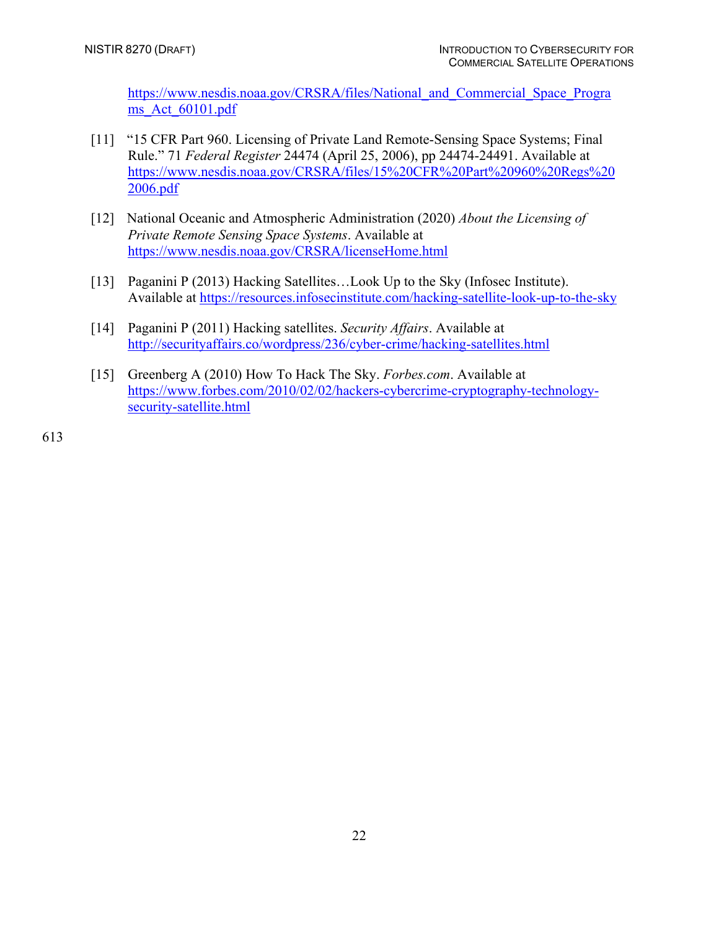[https://www.nesdis.noaa.gov/CRSRA/files/National\\_and\\_Commercial\\_Space\\_Progra](https://www.nesdis.noaa.gov/CRSRA/files/National_and_Commercial_Space_Programs_Act_60101.pdf) ms Act 60101.pdf

- [11] "15 CFR Part 960. Licensing of Private Land Remote-Sensing Space Systems; Final Rule." 71 *Federal Register* 24474 (April 25, 2006), pp 24474-24491. Available at [https://www.nesdis.noaa.gov/CRSRA/files/15%20CFR%20Part%20960%20Regs%20](https://www.nesdis.noaa.gov/CRSRA/files/15%20CFR%20Part%20960%20Regs%202006.pdf) [2006.pdf](https://www.nesdis.noaa.gov/CRSRA/files/15%20CFR%20Part%20960%20Regs%202006.pdf)
- [12] National Oceanic and Atmospheric Administration (2020) *About the Licensing of Private Remote Sensing Space Systems*. Available at <https://www.nesdis.noaa.gov/CRSRA/licenseHome.html>
- [13] Paganini P (2013) Hacking Satellites...Look Up to the Sky (Infosec Institute). Available at<https://resources.infosecinstitute.com/hacking-satellite-look-up-to-the-sky>
- [14] Paganini P (2011) Hacking satellites. *Security Affairs*. Available at <http://securityaffairs.co/wordpress/236/cyber-crime/hacking-satellites.html>
- [15] Greenberg A (2010) How To Hack The Sky. *Forbes.com*. Available at [https://www.forbes.com/2010/02/02/hackers-cybercrime-cryptography-technology](https://www.forbes.com/2010/02/02/hackers-cybercrime-cryptography-technology-security-satellite.html)[security-satellite.html](https://www.forbes.com/2010/02/02/hackers-cybercrime-cryptography-technology-security-satellite.html)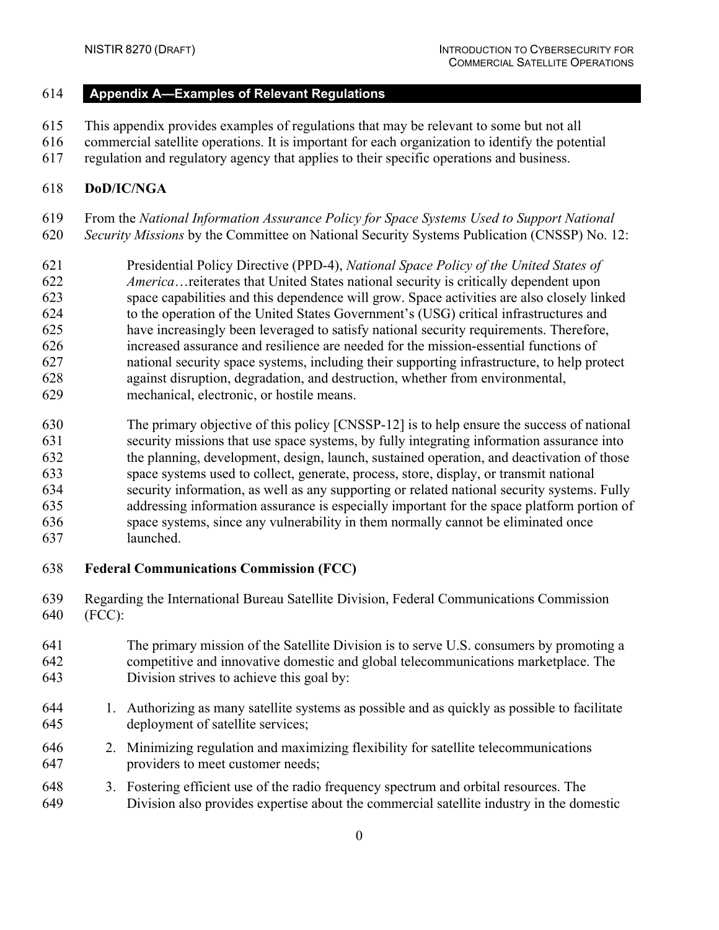# <span id="page-29-0"></span>**Appendix A—Examples of Relevant Regulations**

This appendix provides examples of regulations that may be relevant to some but not all

- commercial satellite operations. It is important for each organization to identify the potential
- regulation and regulatory agency that applies to their specific operations and business.

#### **DoD/IC/NGA**

- From the *National Information Assurance Policy for Space Systems Used to Support National*
- *Security Missions* by the Committee on National Security Systems Publication (CNSSP) No. 12:
- Presidential Policy Directive (PPD-4), *National Space Policy of the United States of America*…reiterates that United States national security is critically dependent upon space capabilities and this dependence will grow. Space activities are also closely linked to the operation of the United States Government's (USG) critical infrastructures and have increasingly been leveraged to satisfy national security requirements. Therefore, increased assurance and resilience are needed for the mission-essential functions of national security space systems, including their supporting infrastructure, to help protect against disruption, degradation, and destruction, whether from environmental, mechanical, electronic, or hostile means.
- The primary objective of this policy [CNSSP-12] is to help ensure the success of national security missions that use space systems, by fully integrating information assurance into the planning, development, design, launch, sustained operation, and deactivation of those space systems used to collect, generate, process, store, display, or transmit national security information, as well as any supporting or related national security systems. Fully addressing information assurance is especially important for the space platform portion of space systems, since any vulnerability in them normally cannot be eliminated once launched.
- **Federal Communications Commission (FCC)**
- Regarding the International Bureau Satellite Division, Federal Communications Commission (FCC):
- The primary mission of the Satellite Division is to serve U.S. consumers by promoting a competitive and innovative domestic and global telecommunications marketplace. The Division strives to achieve this goal by:
- 1. Authorizing as many satellite systems as possible and as quickly as possible to facilitate deployment of satellite services;
- 2. Minimizing regulation and maximizing flexibility for satellite telecommunications providers to meet customer needs;
- 3. Fostering efficient use of the radio frequency spectrum and orbital resources. The Division also provides expertise about the commercial satellite industry in the domestic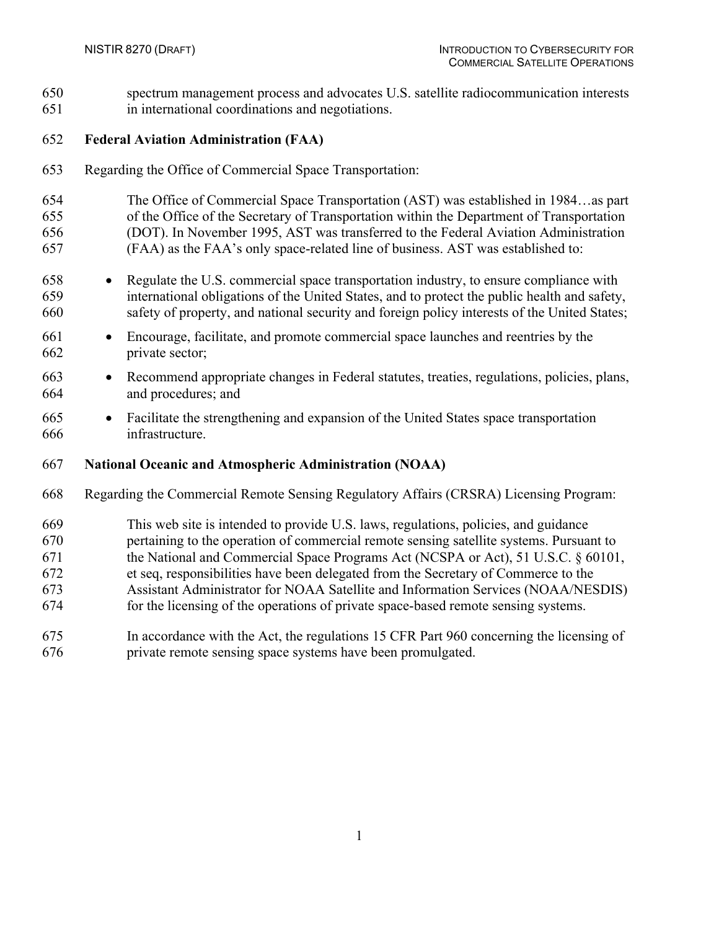spectrum management process and advocates U.S. satellite radiocommunication interests in international coordinations and negotiations.

#### **Federal Aviation Administration (FAA)**

- Regarding the Office of Commercial Space Transportation:
- The Office of Commercial Space Transportation (AST) was established in 1984…as part of the Office of the Secretary of Transportation within the Department of Transportation (DOT). In November 1995, AST was transferred to the Federal Aviation Administration (FAA) as the FAA's only space-related line of business. AST was established to:
- Regulate the U.S. commercial space transportation industry, to ensure compliance with international obligations of the United States, and to protect the public health and safety, safety of property, and national security and foreign policy interests of the United States;
- Encourage, facilitate, and promote commercial space launches and reentries by the private sector;
- Recommend appropriate changes in Federal statutes, treaties, regulations, policies, plans, and procedures; and
- Facilitate the strengthening and expansion of the United States space transportation infrastructure.
- **National Oceanic and Atmospheric Administration (NOAA)**
- Regarding the Commercial Remote Sensing Regulatory Affairs (CRSRA) Licensing Program:
- This web site is intended to provide U.S. laws, regulations, policies, and guidance
- pertaining to the operation of commercial remote sensing satellite systems. Pursuant to
- the National and Commercial Space Programs Act (NCSPA or Act), 51 U.S.C. § 60101,
- et seq, responsibilities have been delegated from the Secretary of Commerce to the
- Assistant Administrator for NOAA Satellite and Information Services (NOAA/NESDIS)
- for the licensing of the operations of private space-based remote sensing systems.
- In accordance with the Act, the regulations 15 CFR Part 960 concerning the licensing of private remote sensing space systems have been promulgated.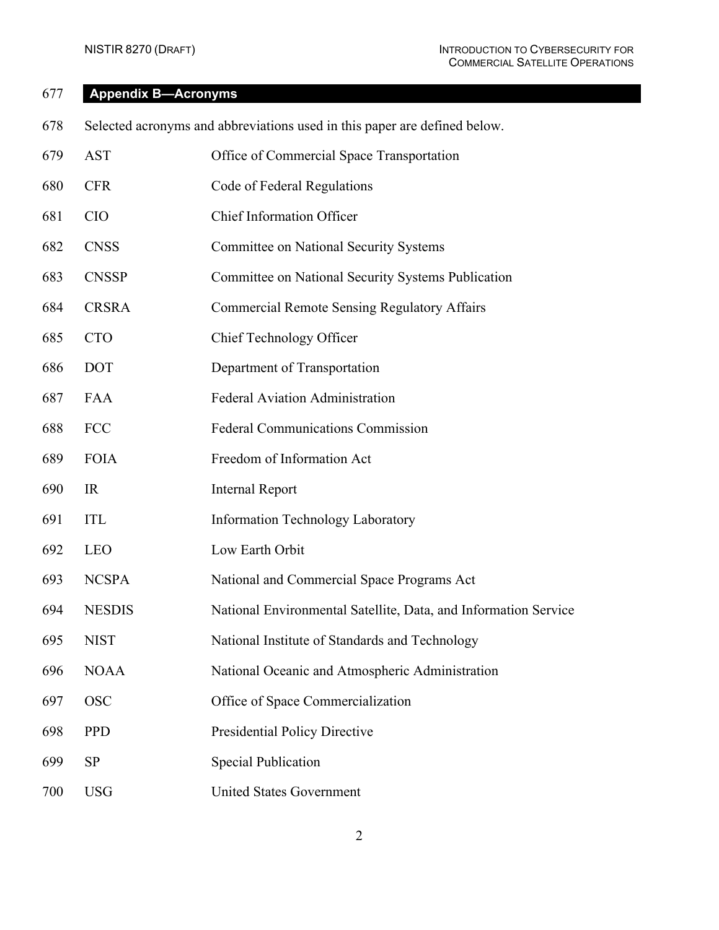### <span id="page-31-0"></span>**Appendix B—Acronyms**

- Selected acronyms and abbreviations used in this paper are defined below.
- AST Office of Commercial Space Transportation
- CFR Code of Federal Regulations
- CIO Chief Information Officer
- CNSS Committee on National Security Systems
- CNSSP Committee on National Security Systems Publication
- CRSRA Commercial Remote Sensing Regulatory Affairs
- CTO Chief Technology Officer
- DOT Department of Transportation
- FAA Federal Aviation Administration
- FCC Federal Communications Commission
- FOIA Freedom of Information Act
- IR Internal Report
- ITL Information Technology Laboratory
- LEO Low Earth Orbit
- NCSPA National and Commercial Space Programs Act
- NESDIS National Environmental Satellite, Data, and Information Service
- NIST National Institute of Standards and Technology
- NOAA National Oceanic and Atmospheric Administration
- OSC Office of Space Commercialization
- PPD Presidential Policy Directive
- SP Special Publication
- USG United States Government